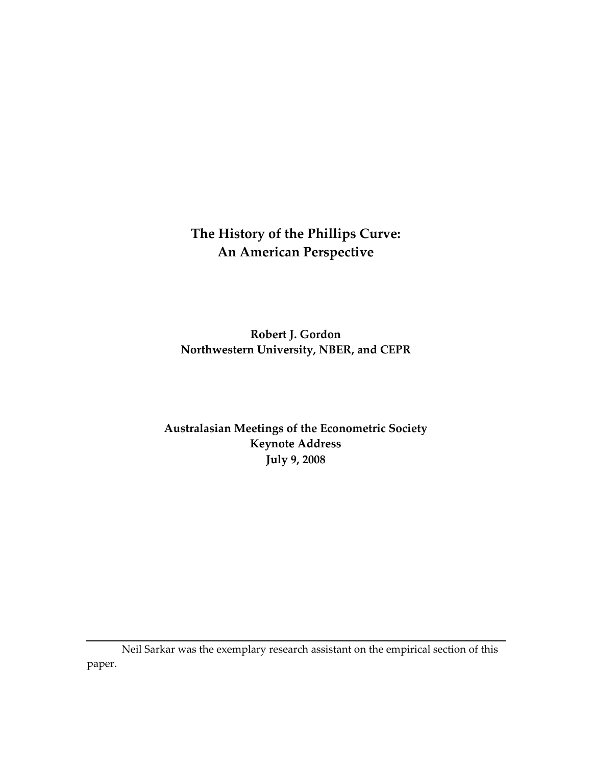# **The History of the Phillips Curve: An American Perspective**

**Robert J. Gordon Northwestern University, NBER, and CEPR**

**Australasian Meetings of the Econometric Society Keynote Address July 9, 2008**

Neil Sarkar was the exemplary research assistant on the empirical section of this paper.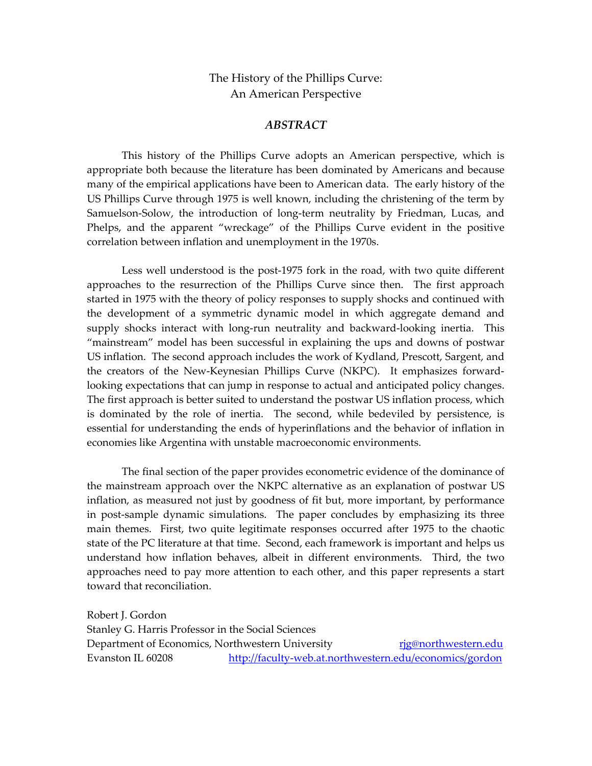The History of the Phillips Curve: An American Perspective

#### *ABSTRACT*

This history of the Phillips Curve adopts an American perspective, which is appropriate both because the literature has been dominated by Americans and because many of the empirical applications have been to American data. The early history of the US Phillips Curve through 1975 is well known, including the christening of the term by Samuelson-Solow, the introduction of long-term neutrality by Friedman, Lucas, and Phelps, and the apparent "wreckage" of the Phillips Curve evident in the positive correlation between inflation and unemployment in the 1970s.

Less well understood is the post-1975 fork in the road, with two quite different approaches to the resurrection of the Phillips Curve since then. The first approach started in 1975 with the theory of policy responses to supply shocks and continued with the development of a symmetric dynamic model in which aggregate demand and supply shocks interact with long-run neutrality and backward-looking inertia. This "mainstream" model has been successful in explaining the ups and downs of postwar US inflation. The second approach includes the work of Kydland, Prescott, Sargent, and the creators of the New‐Keynesian Phillips Curve (NKPC). It emphasizes forward‐ looking expectations that can jump in response to actual and anticipated policy changes. The first approach is better suited to understand the postwar US inflation process, which is dominated by the role of inertia. The second, while bedeviled by persistence, is essential for understanding the ends of hyperinflations and the behavior of inflation in economies like Argentina with unstable macroeconomic environments.

The final section of the paper provides econometric evidence of the dominance of the mainstream approach over the NKPC alternative as an explanation of postwar US inflation, as measured not just by goodness of fit but, more important, by performance in post-sample dynamic simulations. The paper concludes by emphasizing its three main themes. First, two quite legitimate responses occurred after 1975 to the chaotic state of the PC literature at that time. Second, each framework is important and helps us understand how inflation behaves, albeit in different environments. Third, the two approaches need to pay more attention to each other, and this paper represents a start toward that reconciliation.

Robert J. Gordon Stanley G. Harris Professor in the Social Sciences Department of Economics, Northwestern University *rig@northwestern.edu* Evanston IL 60208 http://faculty‐web.at.northwestern.edu/economics/gordon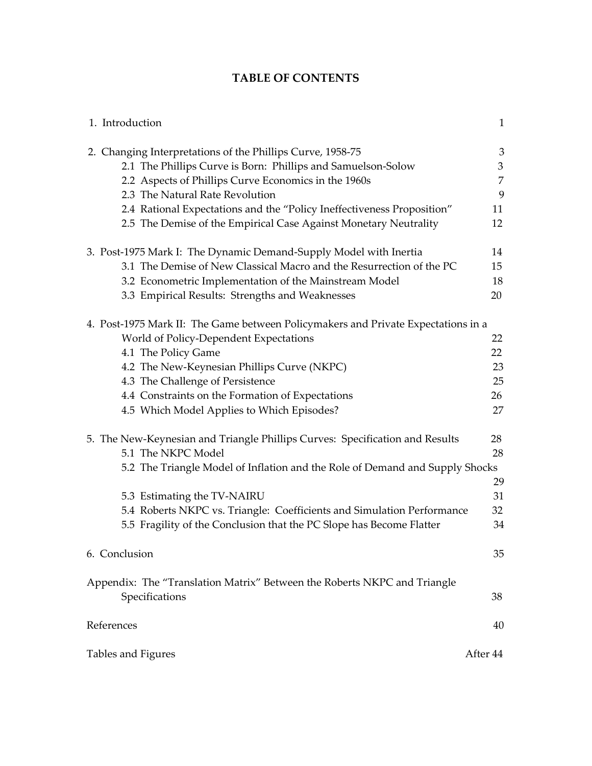# **TABLE OF CONTENTS**

| 1. Introduction                                                                            | $\mathbf{1}$   |
|--------------------------------------------------------------------------------------------|----------------|
| 2. Changing Interpretations of the Phillips Curve, 1958-75                                 | 3              |
| 2.1 The Phillips Curve is Born: Phillips and Samuelson-Solow                               | $\mathfrak{Z}$ |
| 2.2 Aspects of Phillips Curve Economics in the 1960s                                       | 7              |
| 2.3 The Natural Rate Revolution                                                            | 9              |
| 2.4 Rational Expectations and the "Policy Ineffectiveness Proposition"                     | 11             |
| 2.5 The Demise of the Empirical Case Against Monetary Neutrality                           | 12             |
| 3. Post-1975 Mark I: The Dynamic Demand-Supply Model with Inertia                          | 14             |
| 3.1 The Demise of New Classical Macro and the Resurrection of the PC                       | 15             |
| 3.2 Econometric Implementation of the Mainstream Model                                     | 18             |
| 3.3 Empirical Results: Strengths and Weaknesses                                            | 20             |
| 4. Post-1975 Mark II: The Game between Policymakers and Private Expectations in a          |                |
| World of Policy-Dependent Expectations                                                     | 22             |
| 4.1 The Policy Game                                                                        | 22             |
| 4.2 The New-Keynesian Phillips Curve (NKPC)                                                | 23             |
| 4.3 The Challenge of Persistence                                                           | 25             |
| 4.4 Constraints on the Formation of Expectations                                           | 26             |
| 4.5 Which Model Applies to Which Episodes?                                                 | 27             |
| 5. The New-Keynesian and Triangle Phillips Curves: Specification and Results               | 28             |
| 5.1 The NKPC Model                                                                         | 28             |
| 5.2 The Triangle Model of Inflation and the Role of Demand and Supply Shocks               | 29             |
| 5.3 Estimating the TV-NAIRU                                                                | 31             |
| 5.4 Roberts NKPC vs. Triangle: Coefficients and Simulation Performance                     | 32             |
| 5.5 Fragility of the Conclusion that the PC Slope has Become Flatter                       | 34             |
| 6. Conclusion                                                                              | 35             |
| Appendix: The "Translation Matrix" Between the Roberts NKPC and Triangle<br>Specifications | 38             |
| References                                                                                 | 40             |
| Tables and Figures                                                                         | After 44       |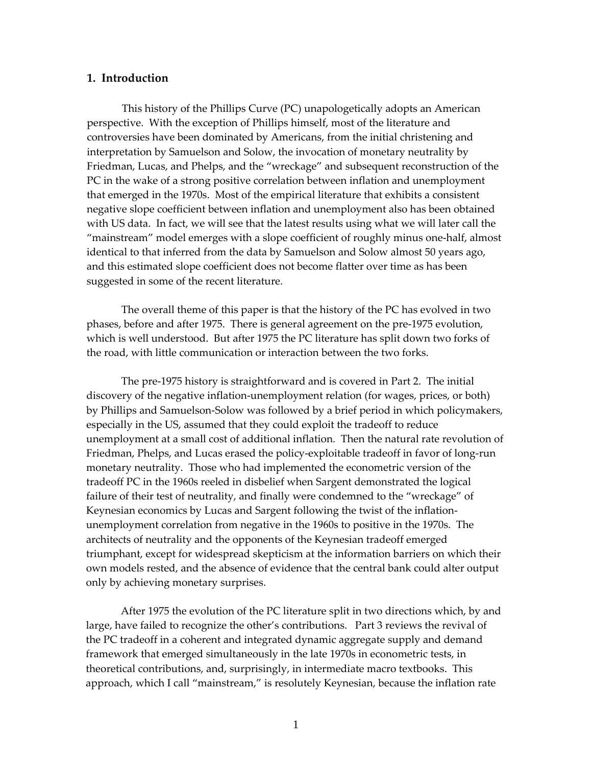## **1. Introduction**

This history of the Phillips Curve (PC) unapologetically adopts an American perspective. With the exception of Phillips himself, most of the literature and controversies have been dominated by Americans, from the initial christening and interpretation by Samuelson and Solow, the invocation of monetary neutrality by Friedman, Lucas, and Phelps, and the "wreckage" and subsequent reconstruction of the PC in the wake of a strong positive correlation between inflation and unemployment that emerged in the 1970s. Most of the empirical literature that exhibits a consistent negative slope coefficient between inflation and unemployment also has been obtained with US data. In fact, we will see that the latest results using what we will later call the "mainstream" model emerges with a slope coefficient of roughly minus one‐half, almost identical to that inferred from the data by Samuelson and Solow almost 50 years ago, and this estimated slope coefficient does not become flatter over time as has been suggested in some of the recent literature.

The overall theme of this paper is that the history of the PC has evolved in two phases, before and after 1975. There is general agreement on the pre‐1975 evolution, which is well understood. But after 1975 the PC literature has split down two forks of the road, with little communication or interaction between the two forks.

The pre-1975 history is straightforward and is covered in Part 2. The initial discovery of the negative inflation‐unemployment relation (for wages, prices, or both) by Phillips and Samuelson‐Solow was followed by a brief period in which policymakers, especially in the US, assumed that they could exploit the tradeoff to reduce unemployment at a small cost of additional inflation. Then the natural rate revolution of Friedman, Phelps, and Lucas erased the policy‐exploitable tradeoff in favor of long‐run monetary neutrality. Those who had implemented the econometric version of the tradeoff PC in the 1960s reeled in disbelief when Sargent demonstrated the logical failure of their test of neutrality, and finally were condemned to the "wreckage" of Keynesian economics by Lucas and Sargent following the twist of the inflationunemployment correlation from negative in the 1960s to positive in the 1970s. The architects of neutrality and the opponents of the Keynesian tradeoff emerged triumphant, except for widespread skepticism at the information barriers on which their own models rested, and the absence of evidence that the central bank could alter output only by achieving monetary surprises.

After 1975 the evolution of the PC literature split in two directions which, by and large, have failed to recognize the other's contributions. Part 3 reviews the revival of the PC tradeoff in a coherent and integrated dynamic aggregate supply and demand framework that emerged simultaneously in the late 1970s in econometric tests, in theoretical contributions, and, surprisingly, in intermediate macro textbooks. This approach, which I call "mainstream," is resolutely Keynesian, because the inflation rate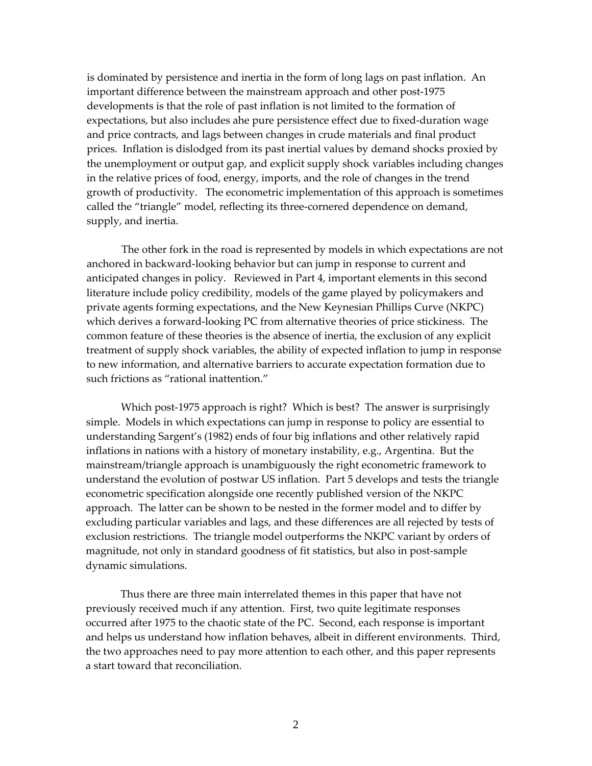is dominated by persistence and inertia in the form of long lags on past inflation. An important difference between the mainstream approach and other post‐1975 developments is that the role of past inflation is not limited to the formation of expectations, but also includes ahe pure persistence effect due to fixed‐duration wage and price contracts, and lags between changes in crude materials and final product prices. Inflation is dislodged from its past inertial values by demand shocks proxied by the unemployment or output gap, and explicit supply shock variables including changes in the relative prices of food, energy, imports, and the role of changes in the trend growth of productivity. The econometric implementation of this approach is sometimes called the "triangle" model, reflecting its three‐cornered dependence on demand, supply, and inertia.

The other fork in the road is represented by models in which expectations are not anchored in backward‐looking behavior but can jump in response to current and anticipated changes in policy. Reviewed in Part 4, important elements in this second literature include policy credibility, models of the game played by policymakers and private agents forming expectations, and the New Keynesian Phillips Curve (NKPC) which derives a forward-looking PC from alternative theories of price stickiness. The common feature of these theories is the absence of inertia, the exclusion of any explicit treatment of supply shock variables, the ability of expected inflation to jump in response to new information, and alternative barriers to accurate expectation formation due to such frictions as "rational inattention."

Which post‐1975 approach is right? Which is best? The answer is surprisingly simple. Models in which expectations can jump in response to policy are essential to understanding Sargent's (1982) ends of four big inflations and other relatively rapid inflations in nations with a history of monetary instability, e.g., Argentina. But the mainstream/triangle approach is unambiguously the right econometric framework to understand the evolution of postwar US inflation. Part 5 develops and tests the triangle econometric specification alongside one recently published version of the NKPC approach. The latter can be shown to be nested in the former model and to differ by excluding particular variables and lags, and these differences are all rejected by tests of exclusion restrictions. The triangle model outperforms the NKPC variant by orders of magnitude, not only in standard goodness of fit statistics, but also in post-sample dynamic simulations.

Thus there are three main interrelated themes in this paper that have not previously received much if any attention. First, two quite legitimate responses occurred after 1975 to the chaotic state of the PC. Second, each response is important and helps us understand how inflation behaves, albeit in different environments. Third, the two approaches need to pay more attention to each other, and this paper represents a start toward that reconciliation.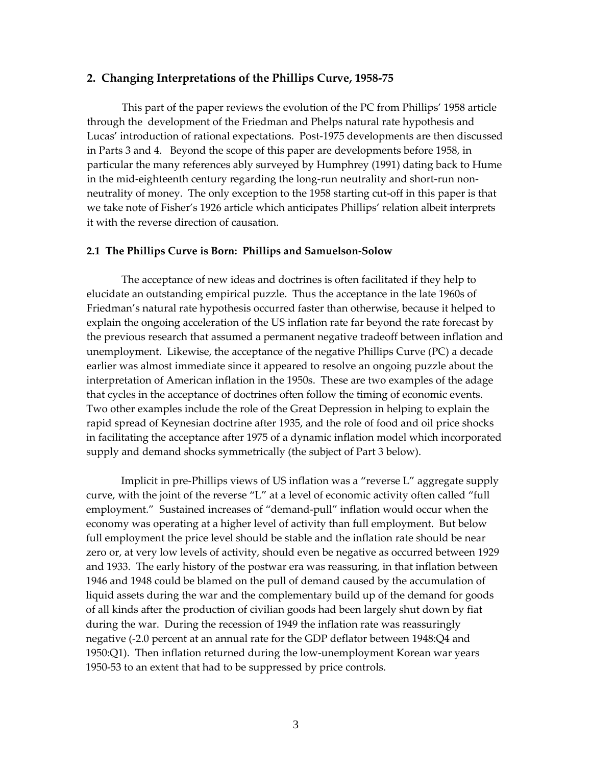#### **2. Changing Interpretations of the Phillips Curve, 1958‐75**

This part of the paper reviews the evolution of the PC from Phillips' 1958 article through the development of the Friedman and Phelps natural rate hypothesis and Lucas' introduction of rational expectations. Post‐1975 developments are then discussed in Parts 3 and 4. Beyond the scope of this paper are developments before 1958, in particular the many references ably surveyed by Humphrey (1991) dating back to Hume in the mid‐eighteenth century regarding the long‐run neutrality and short‐run non‐ neutrality of money. The only exception to the 1958 starting cut-off in this paper is that we take note of Fisher's 1926 article which anticipates Phillips' relation albeit interprets it with the reverse direction of causation.

#### **2.1 The Phillips Curve is Born: Phillips and Samuelson‐Solow**

The acceptance of new ideas and doctrines is often facilitated if they help to elucidate an outstanding empirical puzzle. Thus the acceptance in the late 1960s of Friedman's natural rate hypothesis occurred faster than otherwise, because it helped to explain the ongoing acceleration of the US inflation rate far beyond the rate forecast by the previous research that assumed a permanent negative tradeoff between inflation and unemployment. Likewise, the acceptance of the negative Phillips Curve (PC) a decade earlier was almost immediate since it appeared to resolve an ongoing puzzle about the interpretation of American inflation in the 1950s. These are two examples of the adage that cycles in the acceptance of doctrines often follow the timing of economic events. Two other examples include the role of the Great Depression in helping to explain the rapid spread of Keynesian doctrine after 1935, and the role of food and oil price shocks in facilitating the acceptance after 1975 of a dynamic inflation model which incorporated supply and demand shocks symmetrically (the subject of Part 3 below).

Implicit in pre‐Phillips views of US inflation was a "reverse L" aggregate supply curve, with the joint of the reverse "L" at a level of economic activity often called "full employment." Sustained increases of "demand‐pull" inflation would occur when the economy was operating at a higher level of activity than full employment. But below full employment the price level should be stable and the inflation rate should be near zero or, at very low levels of activity, should even be negative as occurred between 1929 and 1933. The early history of the postwar era was reassuring, in that inflation between 1946 and 1948 could be blamed on the pull of demand caused by the accumulation of liquid assets during the war and the complementary build up of the demand for goods of all kinds after the production of civilian goods had been largely shut down by fiat during the war. During the recession of 1949 the inflation rate was reassuringly negative (‐2.0 percent at an annual rate for the GDP deflator between 1948:Q4 and 1950:Q1). Then inflation returned during the low-unemployment Korean war years 1950‐53 to an extent that had to be suppressed by price controls.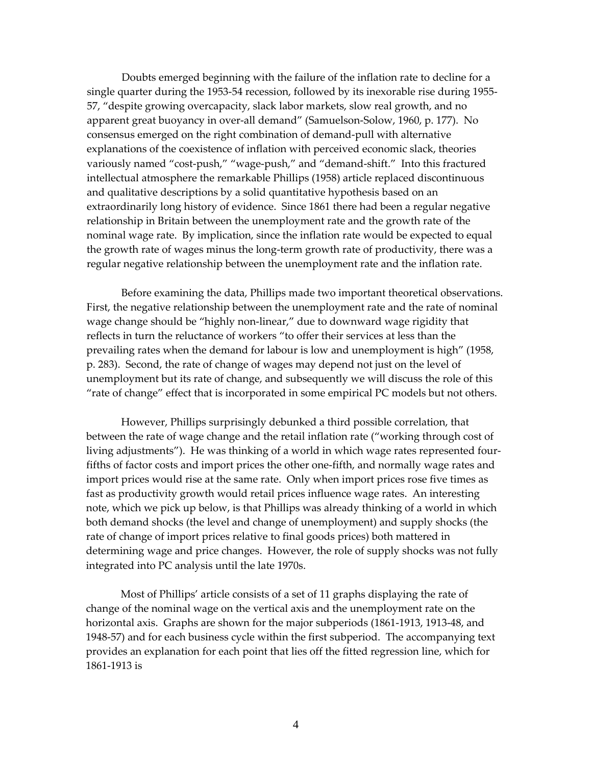Doubts emerged beginning with the failure of the inflation rate to decline for a single quarter during the 1953‐54 recession, followed by its inexorable rise during 1955‐ 57, "despite growing overcapacity, slack labor markets, slow real growth, and no apparent great buoyancy in over‐all demand" (Samuelson‐Solow, 1960, p. 177). No consensus emerged on the right combination of demand‐pull with alternative explanations of the coexistence of inflation with perceived economic slack, theories variously named "cost-push," "wage-push," and "demand-shift." Into this fractured intellectual atmosphere the remarkable Phillips (1958) article replaced discontinuous and qualitative descriptions by a solid quantitative hypothesis based on an extraordinarily long history of evidence. Since 1861 there had been a regular negative relationship in Britain between the unemployment rate and the growth rate of the nominal wage rate. By implication, since the inflation rate would be expected to equal the growth rate of wages minus the long‐term growth rate of productivity, there was a regular negative relationship between the unemployment rate and the inflation rate.

Before examining the data, Phillips made two important theoretical observations. First, the negative relationship between the unemployment rate and the rate of nominal wage change should be "highly non-linear," due to downward wage rigidity that reflects in turn the reluctance of workers "to offer their services at less than the prevailing rates when the demand for labour is low and unemployment is high" (1958, p. 283). Second, the rate of change of wages may depend not just on the level of unemployment but its rate of change, and subsequently we will discuss the role of this "rate of change" effect that is incorporated in some empirical PC models but not others.

However, Phillips surprisingly debunked a third possible correlation, that between the rate of wage change and the retail inflation rate ("working through cost of living adjustments"). He was thinking of a world in which wage rates represented four‐ fifths of factor costs and import prices the other one‐fifth, and normally wage rates and import prices would rise at the same rate. Only when import prices rose five times as fast as productivity growth would retail prices influence wage rates. An interesting note, which we pick up below, is that Phillips was already thinking of a world in which both demand shocks (the level and change of unemployment) and supply shocks (the rate of change of import prices relative to final goods prices) both mattered in determining wage and price changes. However, the role of supply shocks was not fully integrated into PC analysis until the late 1970s.

Most of Phillips' article consists of a set of 11 graphs displaying the rate of change of the nominal wage on the vertical axis and the unemployment rate on the horizontal axis. Graphs are shown for the major subperiods (1861-1913, 1913-48, and 1948‐57) and for each business cycle within the first subperiod. The accompanying text provides an explanation for each point that lies off the fitted regression line, which for 1861‐1913 is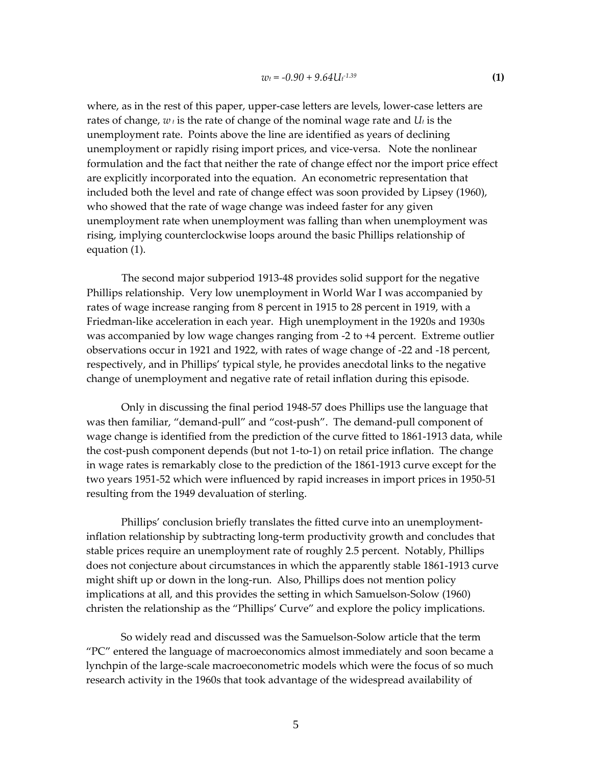where, as in the rest of this paper, upper-case letters are levels, lower-case letters are rates of change,  $w_t$  is the rate of change of the nominal wage rate and  $U_t$  is the unemployment rate. Points above the line are identified as years of declining unemployment or rapidly rising import prices, and vice-versa. Note the nonlinear formulation and the fact that neither the rate of change effect nor the import price effect are explicitly incorporated into the equation. An econometric representation that included both the level and rate of change effect was soon provided by Lipsey (1960), who showed that the rate of wage change was indeed faster for any given unemployment rate when unemployment was falling than when unemployment was rising, implying counterclockwise loops around the basic Phillips relationship of equation (1).

The second major subperiod 1913-48 provides solid support for the negative Phillips relationship. Very low unemployment in World War I was accompanied by rates of wage increase ranging from 8 percent in 1915 to 28 percent in 1919, with a Friedman‐like acceleration in each year. High unemployment in the 1920s and 1930s was accompanied by low wage changes ranging from -2 to +4 percent. Extreme outlier observations occur in 1921 and 1922, with rates of wage change of ‐22 and ‐18 percent, respectively, and in Phillips' typical style, he provides anecdotal links to the negative change of unemployment and negative rate of retail inflation during this episode.

Only in discussing the final period 1948‐57 does Phillips use the language that was then familiar, "demand‐pull" and "cost‐push". The demand‐pull component of wage change is identified from the prediction of the curve fitted to 1861‐1913 data, while the cost‐push component depends (but not 1‐to‐1) on retail price inflation. The change in wage rates is remarkably close to the prediction of the 1861‐1913 curve except for the two years 1951‐52 which were influenced by rapid increases in import prices in 1950‐51 resulting from the 1949 devaluation of sterling.

Phillips' conclusion briefly translates the fitted curve into an unemploymentinflation relationship by subtracting long‐term productivity growth and concludes that stable prices require an unemployment rate of roughly 2.5 percent. Notably, Phillips does not conjecture about circumstances in which the apparently stable 1861‐1913 curve might shift up or down in the long‐run. Also, Phillips does not mention policy implications at all, and this provides the setting in which Samuelson‐Solow (1960) christen the relationship as the "Phillips' Curve" and explore the policy implications.

So widely read and discussed was the Samuelson‐Solow article that the term "PC" entered the language of macroeconomics almost immediately and soon became a lynchpin of the large‐scale macroeconometric models which were the focus of so much research activity in the 1960s that took advantage of the widespread availability of

5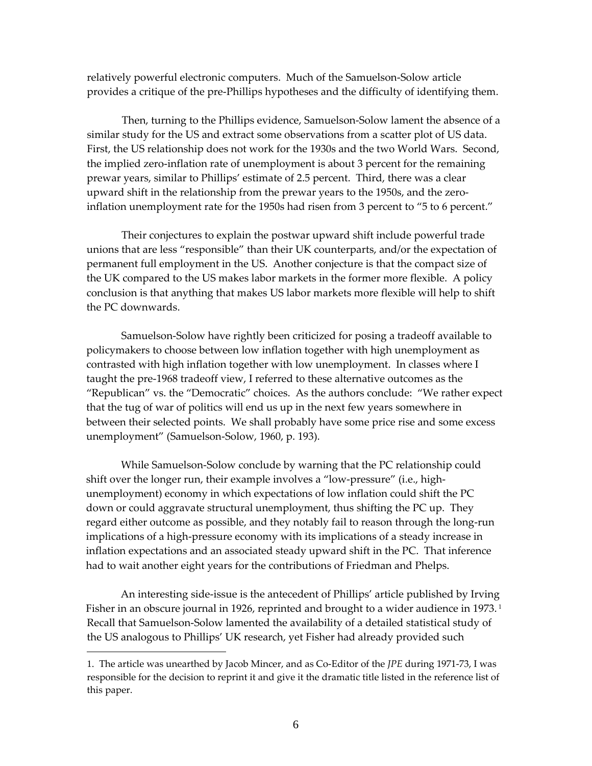relatively powerful electronic computers. Much of the Samuelson‐Solow article provides a critique of the pre‐Phillips hypotheses and the difficulty of identifying them.

Then, turning to the Phillips evidence, Samuelson‐Solow lament the absence of a similar study for the US and extract some observations from a scatter plot of US data. First, the US relationship does not work for the 1930s and the two World Wars. Second, the implied zero‐inflation rate of unemployment is about 3 percent for the remaining prewar years, similar to Phillips' estimate of 2.5 percent. Third, there was a clear upward shift in the relationship from the prewar years to the 1950s, and the zero‐ inflation unemployment rate for the 1950s had risen from 3 percent to "5 to 6 percent."

Their conjectures to explain the postwar upward shift include powerful trade unions that are less "responsible" than their UK counterparts, and/or the expectation of permanent full employment in the US. Another conjecture is that the compact size of the UK compared to the US makes labor markets in the former more flexible. A policy conclusion is that anything that makes US labor markets more flexible will help to shift the PC downwards.

Samuelson‐Solow have rightly been criticized for posing a tradeoff available to policymakers to choose between low inflation together with high unemployment as contrasted with high inflation together with low unemployment. In classes where I taught the pre‐1968 tradeoff view, I referred to these alternative outcomes as the "Republican" vs. the "Democratic" choices. As the authors conclude: "We rather expect that the tug of war of politics will end us up in the next few years somewhere in between their selected points. We shall probably have some price rise and some excess unemployment" (Samuelson‐Solow, 1960, p. 193).

While Samuelson-Solow conclude by warning that the PC relationship could shift over the longer run, their example involves a "low-pressure" (i.e., highunemployment) economy in which expectations of low inflation could shift the PC down or could aggravate structural unemployment, thus shifting the PC up. They regard either outcome as possible, and they notably fail to reason through the long-run implications of a high-pressure economy with its implications of a steady increase in inflation expectations and an associated steady upward shift in the PC. That inference had to wait another eight years for the contributions of Friedman and Phelps.

An interesting side‐issue is the antecedent of Phillips' article published by Irving Fisher in an obscure journal in [1](#page-8-0)926, reprinted and brought to a wider audience in 1973.<sup>1</sup> Recall that Samuelson‐Solow lamented the availability of a detailed statistical study of the US analogous to Phillips' UK research, yet Fisher had already provided such

 $\overline{a}$ 

<span id="page-8-0"></span><sup>1.</sup> The article was unearthed by Jacob Mincer, and as Co‐Editor of the *JPE* during 1971‐73, I was responsible for the decision to reprint it and give it the dramatic title listed in the reference list of this paper.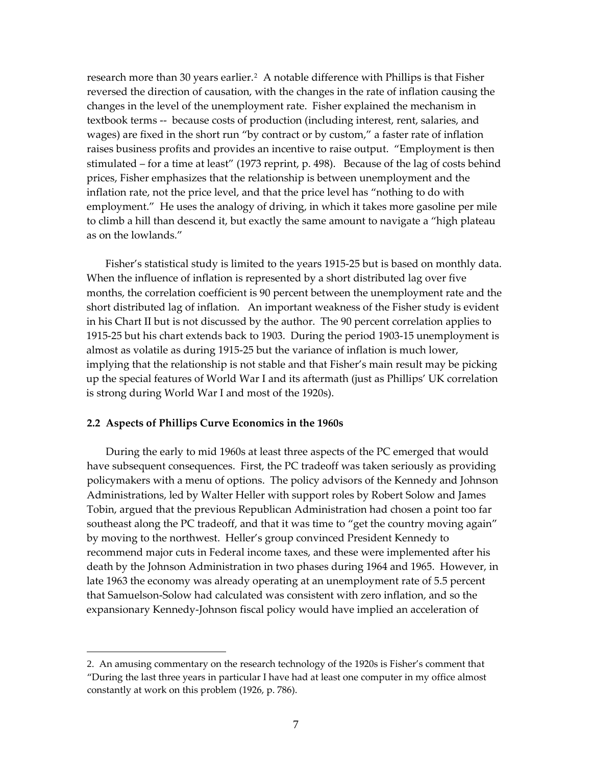research more than 30 years earlier.<sup>[2](#page-9-0)</sup> A notable difference with Phillips is that Fisher reversed the direction of causation, with the changes in the rate of inflation causing the changes in the level of the unemployment rate. Fisher explained the mechanism in textbook terms ‐‐ because costs of production (including interest, rent, salaries, and wages) are fixed in the short run "by contract or by custom," a faster rate of inflation raises business profits and provides an incentive to raise output. "Employment is then stimulated – for a time at least" (1973 reprint, p. 498). Because of the lag of costs behind prices, Fisher emphasizes that the relationship is between unemployment and the inflation rate, not the price level, and that the price level has "nothing to do with employment." He uses the analogy of driving, in which it takes more gasoline per mile to climb a hill than descend it, but exactly the same amount to navigate a "high plateau as on the lowlands."

Fisher's statistical study is limited to the years 1915‐25 but is based on monthly data. When the influence of inflation is represented by a short distributed lag over five months, the correlation coefficient is 90 percent between the unemployment rate and the short distributed lag of inflation. An important weakness of the Fisher study is evident in his Chart II but is not discussed by the author. The 90 percent correlation applies to 1915‐25 but his chart extends back to 1903. During the period 1903‐15 unemployment is almost as volatile as during 1915‐25 but the variance of inflation is much lower, implying that the relationship is not stable and that Fisher's main result may be picking up the special features of World War I and its aftermath (just as Phillips' UK correlation is strong during World War I and most of the 1920s).

#### **2.2 Aspects of Phillips Curve Economics in the 1960s**

 $\overline{a}$ 

During the early to mid 1960s at least three aspects of the PC emerged that would have subsequent consequences. First, the PC tradeoff was taken seriously as providing policymakers with a menu of options. The policy advisors of the Kennedy and Johnson Administrations, led by Walter Heller with support roles by Robert Solow and James Tobin, argued that the previous Republican Administration had chosen a point too far southeast along the PC tradeoff, and that it was time to "get the country moving again" by moving to the northwest. Heller's group convinced President Kennedy to recommend major cuts in Federal income taxes, and these were implemented after his death by the Johnson Administration in two phases during 1964 and 1965. However, in late 1963 the economy was already operating at an unemployment rate of 5.5 percent that Samuelson‐Solow had calculated was consistent with zero inflation, and so the expansionary Kennedy‐Johnson fiscal policy would have implied an acceleration of

<span id="page-9-0"></span><sup>2.</sup> An amusing commentary on the research technology of the 1920s is Fisher's comment that "During the last three years in particular I have had at least one computer in my office almost constantly at work on this problem (1926, p. 786).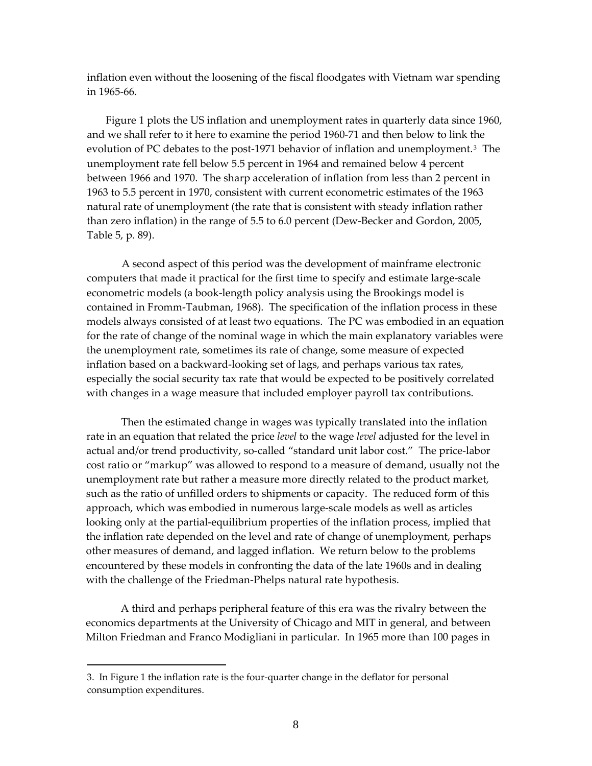inflation even without the loosening of the fiscal floodgates with Vietnam war spending in 1965‐66.

Figure 1 plots the US inflation and unemployment rates in quarterly data since 1960, and we shall refer to it here to examine the period 1960‐71 and then below to link the evolution of PC debates to the post-1971 behavior of inflation and unemployment.<sup>[3](#page-10-0)</sup> The unemployment rate fell below 5.5 percent in 1964 and remained below 4 percent between 1966 and 1970. The sharp acceleration of inflation from less than 2 percent in 1963 to 5.5 percent in 1970, consistent with current econometric estimates of the 1963 natural rate of unemployment (the rate that is consistent with steady inflation rather than zero inflation) in the range of 5.5 to 6.0 percent (Dew‐Becker and Gordon, 2005, Table 5, p. 89).

A second aspect of this period was the development of mainframe electronic computers that made it practical for the first time to specify and estimate large-scale econometric models (a book‐length policy analysis using the Brookings model is contained in Fromm‐Taubman, 1968). The specification of the inflation process in these models always consisted of at least two equations. The PC was embodied in an equation for the rate of change of the nominal wage in which the main explanatory variables were the unemployment rate, sometimes its rate of change, some measure of expected inflation based on a backward‐looking set of lags, and perhaps various tax rates, especially the social security tax rate that would be expected to be positively correlated with changes in a wage measure that included employer payroll tax contributions.

Then the estimated change in wages was typically translated into the inflation rate in an equation that related the price *level* to the wage *level* adjusted for the level in actual and/or trend productivity, so-called "standard unit labor cost." The price-labor cost ratio or "markup" was allowed to respond to a measure of demand, usually not the unemployment rate but rather a measure more directly related to the product market, such as the ratio of unfilled orders to shipments or capacity. The reduced form of this approach, which was embodied in numerous large‐scale models as well as articles looking only at the partial‐equilibrium properties of the inflation process, implied that the inflation rate depended on the level and rate of change of unemployment, perhaps other measures of demand, and lagged inflation. We return below to the problems encountered by these models in confronting the data of the late 1960s and in dealing with the challenge of the Friedman-Phelps natural rate hypothesis.

A third and perhaps peripheral feature of this era was the rivalry between the economics departments at the University of Chicago and MIT in general, and between Milton Friedman and Franco Modigliani in particular. In 1965 more than 100 pages in

 $\overline{a}$ 

<span id="page-10-0"></span><sup>3.</sup> In Figure 1 the inflation rate is the four‐quarter change in the deflator for personal consumption expenditures.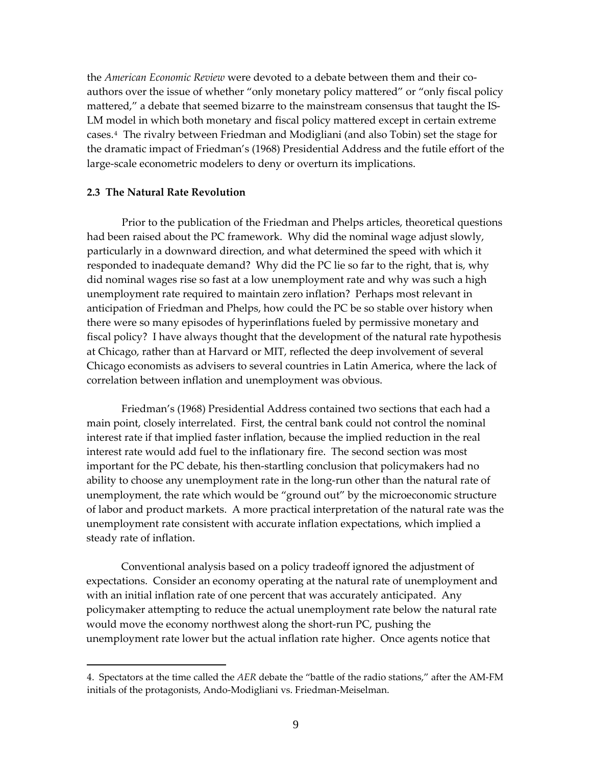the *American Economic Review* were devoted to a debate between them and their co‐ authors over the issue of whether "only monetary policy mattered" or "only fiscal policy mattered," a debate that seemed bizarre to the mainstream consensus that taught the IS-LM model in which both monetary and fiscal policy mattered except in certain extreme cases.[4](#page-11-0) The rivalry between Friedman and Modigliani (and also Tobin) set the stage for the dramatic impact of Friedman's (1968) Presidential Address and the futile effort of the large‐scale econometric modelers to deny or overturn its implications.

### **2.3 The Natural Rate Revolution**

 $\overline{a}$ 

Prior to the publication of the Friedman and Phelps articles, theoretical questions had been raised about the PC framework. Why did the nominal wage adjust slowly, particularly in a downward direction, and what determined the speed with which it responded to inadequate demand? Why did the PC lie so far to the right, that is, why did nominal wages rise so fast at a low unemployment rate and why was such a high unemployment rate required to maintain zero inflation? Perhaps most relevant in anticipation of Friedman and Phelps, how could the PC be so stable over history when there were so many episodes of hyperinflations fueled by permissive monetary and fiscal policy? I have always thought that the development of the natural rate hypothesis at Chicago, rather than at Harvard or MIT, reflected the deep involvement of several Chicago economists as advisers to several countries in Latin America, where the lack of correlation between inflation and unemployment was obvious.

Friedman's (1968) Presidential Address contained two sections that each had a main point, closely interrelated. First, the central bank could not control the nominal interest rate if that implied faster inflation, because the implied reduction in the real interest rate would add fuel to the inflationary fire. The second section was most important for the PC debate, his then‐startling conclusion that policymakers had no ability to choose any unemployment rate in the long‐run other than the natural rate of unemployment, the rate which would be "ground out" by the microeconomic structure of labor and product markets. A more practical interpretation of the natural rate was the unemployment rate consistent with accurate inflation expectations, which implied a steady rate of inflation.

Conventional analysis based on a policy tradeoff ignored the adjustment of expectations. Consider an economy operating at the natural rate of unemployment and with an initial inflation rate of one percent that was accurately anticipated. Any policymaker attempting to reduce the actual unemployment rate below the natural rate would move the economy northwest along the short-run PC, pushing the unemployment rate lower but the actual inflation rate higher. Once agents notice that

<span id="page-11-0"></span><sup>4.</sup> Spectators at the time called the *AER* debate the "battle of the radio stations," after the AM‐FM initials of the protagonists, Ando‐Modigliani vs. Friedman‐Meiselman.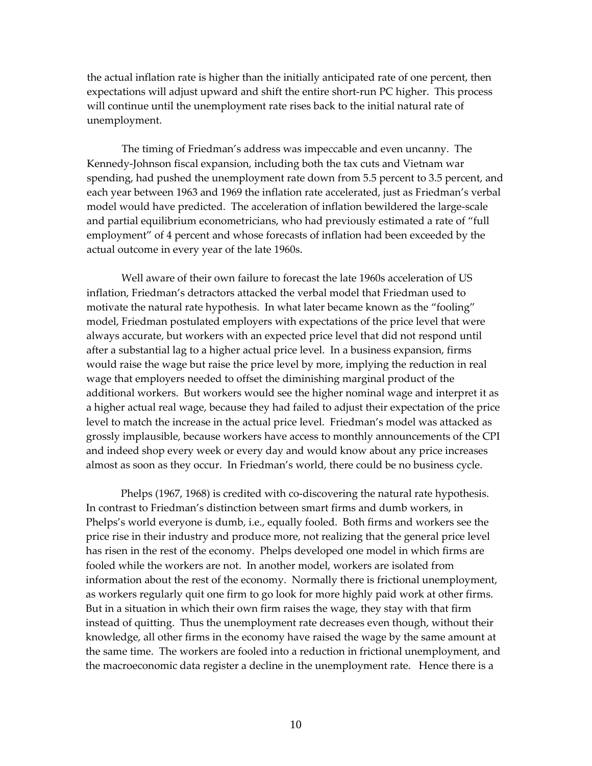the actual inflation rate is higher than the initially anticipated rate of one percent, then expectations will adjust upward and shift the entire short-run PC higher. This process will continue until the unemployment rate rises back to the initial natural rate of unemployment.

The timing of Friedman's address was impeccable and even uncanny. The Kennedy‐Johnson fiscal expansion, including both the tax cuts and Vietnam war spending, had pushed the unemployment rate down from 5.5 percent to 3.5 percent, and each year between 1963 and 1969 the inflation rate accelerated, just as Friedman's verbal model would have predicted. The acceleration of inflation bewildered the large‐scale and partial equilibrium econometricians, who had previously estimated a rate of "full employment" of 4 percent and whose forecasts of inflation had been exceeded by the actual outcome in every year of the late 1960s.

Well aware of their own failure to forecast the late 1960s acceleration of US inflation, Friedman's detractors attacked the verbal model that Friedman used to motivate the natural rate hypothesis. In what later became known as the "fooling" model, Friedman postulated employers with expectations of the price level that were always accurate, but workers with an expected price level that did not respond until after a substantial lag to a higher actual price level. In a business expansion, firms would raise the wage but raise the price level by more, implying the reduction in real wage that employers needed to offset the diminishing marginal product of the additional workers. But workers would see the higher nominal wage and interpret it as a higher actual real wage, because they had failed to adjust their expectation of the price level to match the increase in the actual price level. Friedman's model was attacked as grossly implausible, because workers have access to monthly announcements of the CPI and indeed shop every week or every day and would know about any price increases almost as soon as they occur. In Friedman's world, there could be no business cycle.

Phelps (1967, 1968) is credited with co-discovering the natural rate hypothesis. In contrast to Friedman's distinction between smart firms and dumb workers, in Phelps's world everyone is dumb, i.e., equally fooled. Both firms and workers see the price rise in their industry and produce more, not realizing that the general price level has risen in the rest of the economy. Phelps developed one model in which firms are fooled while the workers are not. In another model, workers are isolated from information about the rest of the economy. Normally there is frictional unemployment, as workers regularly quit one firm to go look for more highly paid work at other firms. But in a situation in which their own firm raises the wage, they stay with that firm instead of quitting. Thus the unemployment rate decreases even though, without their knowledge, all other firms in the economy have raised the wage by the same amount at the same time. The workers are fooled into a reduction in frictional unemployment, and the macroeconomic data register a decline in the unemployment rate. Hence there is a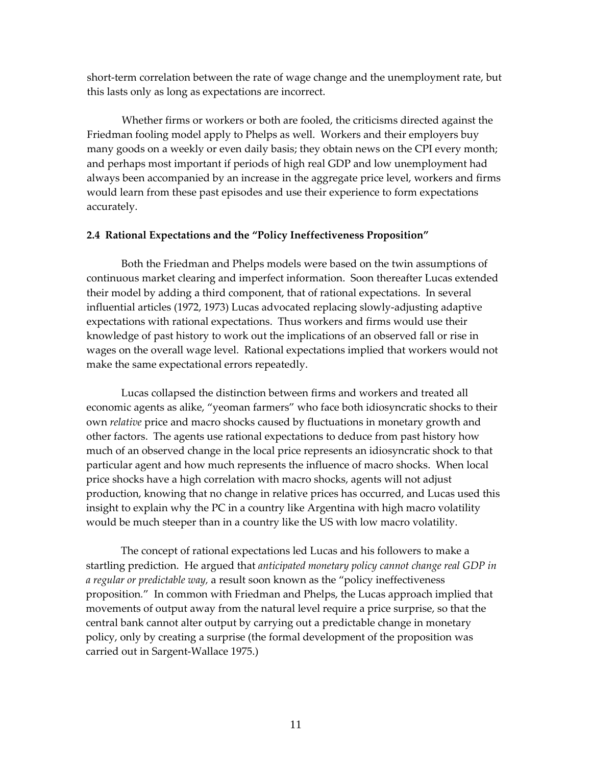short-term correlation between the rate of wage change and the unemployment rate, but this lasts only as long as expectations are incorrect.

Whether firms or workers or both are fooled, the criticisms directed against the Friedman fooling model apply to Phelps as well. Workers and their employers buy many goods on a weekly or even daily basis; they obtain news on the CPI every month; and perhaps most important if periods of high real GDP and low unemployment had always been accompanied by an increase in the aggregate price level, workers and firms would learn from these past episodes and use their experience to form expectations accurately.

#### **2.4 Rational Expectations and the "Policy Ineffectiveness Proposition"**

Both the Friedman and Phelps models were based on the twin assumptions of continuous market clearing and imperfect information. Soon thereafter Lucas extended their model by adding a third component, that of rational expectations. In several influential articles (1972, 1973) Lucas advocated replacing slowly‐adjusting adaptive expectations with rational expectations. Thus workers and firms would use their knowledge of past history to work out the implications of an observed fall or rise in wages on the overall wage level. Rational expectations implied that workers would not make the same expectational errors repeatedly.

Lucas collapsed the distinction between firms and workers and treated all economic agents as alike, "yeoman farmers" who face both idiosyncratic shocks to their own *relative* price and macro shocks caused by fluctuations in monetary growth and other factors. The agents use rational expectations to deduce from past history how much of an observed change in the local price represents an idiosyncratic shock to that particular agent and how much represents the influence of macro shocks. When local price shocks have a high correlation with macro shocks, agents will not adjust production, knowing that no change in relative prices has occurred, and Lucas used this insight to explain why the PC in a country like Argentina with high macro volatility would be much steeper than in a country like the US with low macro volatility.

The concept of rational expectations led Lucas and his followers to make a startling prediction. He argued that *anticipated monetary policy cannot change real GDP in a regular or predictable way,* a result soon known as the "policy ineffectiveness proposition*.*" In common with Friedman and Phelps, the Lucas approach implied that movements of output away from the natural level require a price surprise, so that the central bank cannot alter output by carrying out a predictable change in monetary policy, only by creating a surprise (the formal development of the proposition was carried out in Sargent‐Wallace 1975.)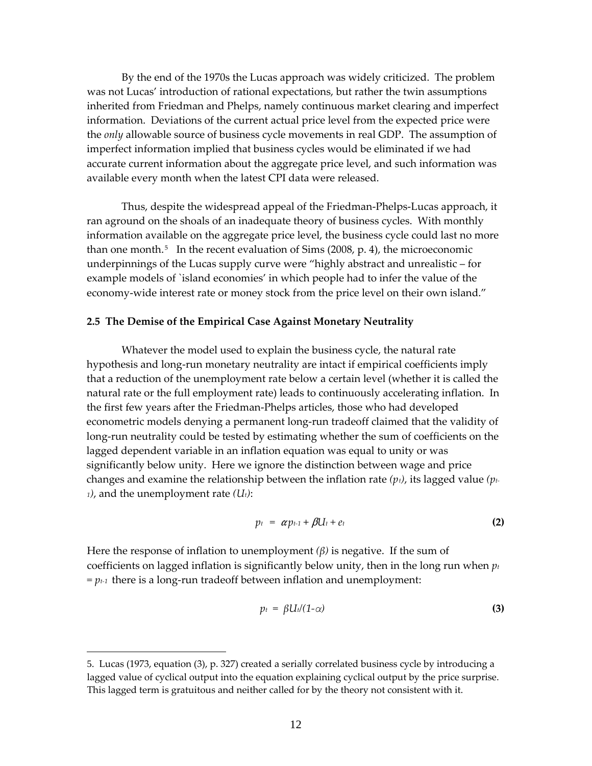By the end of the 1970s the Lucas approach was widely criticized. The problem was not Lucas' introduction of rational expectations, but rather the twin assumptions inherited from Friedman and Phelps, namely continuous market clearing and imperfect information. Deviations of the current actual price level from the expected price were the *only* allowable source of business cycle movements in real GDP. The assumption of imperfect information implied that business cycles would be eliminated if we had accurate current information about the aggregate price level, and such information was available every month when the latest CPI data were released.

Thus, despite the widespread appeal of the Friedman‐Phelps‐Lucas approach, it ran aground on the shoals of an inadequate theory of business cycles. With monthly information available on the aggregate price level, the business cycle could last no more than one month.<sup>[5](#page-14-0)</sup> In the recent evaluation of Sims  $(2008, p. 4)$ , the microeconomic underpinnings of the Lucas supply curve were "highly abstract and unrealistic – for example models of `island economies' in which people had to infer the value of the economy-wide interest rate or money stock from the price level on their own island."

#### **2.5 The Demise of the Empirical Case Against Monetary Neutrality**

Whatever the model used to explain the business cycle, the natural rate hypothesis and long‐run monetary neutrality are intact if empirical coefficients imply that a reduction of the unemployment rate below a certain level (whether it is called the natural rate or the full employment rate) leads to continuously accelerating inflation. In the first few years after the Friedman‐Phelps articles, those who had developed econometric models denying a permanent long‐run tradeoff claimed that the validity of long-run neutrality could be tested by estimating whether the sum of coefficients on the lagged dependent variable in an inflation equation was equal to unity or was significantly below unity. Here we ignore the distinction between wage and price changes and examine the relationship between the inflation rate *(pt)*, its lagged value *(pt‐ 1)*, and the unemployment rate *(Ut)*:

$$
p_t = \alpha p_{t-1} + \beta U_t + e_t \tag{2}
$$

Here the response of inflation to unemployment  $(\beta)$  is negative. If the sum of coefficients on lagged inflation is significantly below unity, then in the long run when *pt*  $= p_{t-1}$  there is a long-run tradeoff between inflation and unemployment:

$$
p_t = \beta U_t/(1-\alpha) \tag{3}
$$

 $\overline{a}$ 

<span id="page-14-0"></span><sup>5.</sup> Lucas (1973, equation (3), p. 327) created a serially correlated business cycle by introducing a lagged value of cyclical output into the equation explaining cyclical output by the price surprise. This lagged term is gratuitous and neither called for by the theory not consistent with it.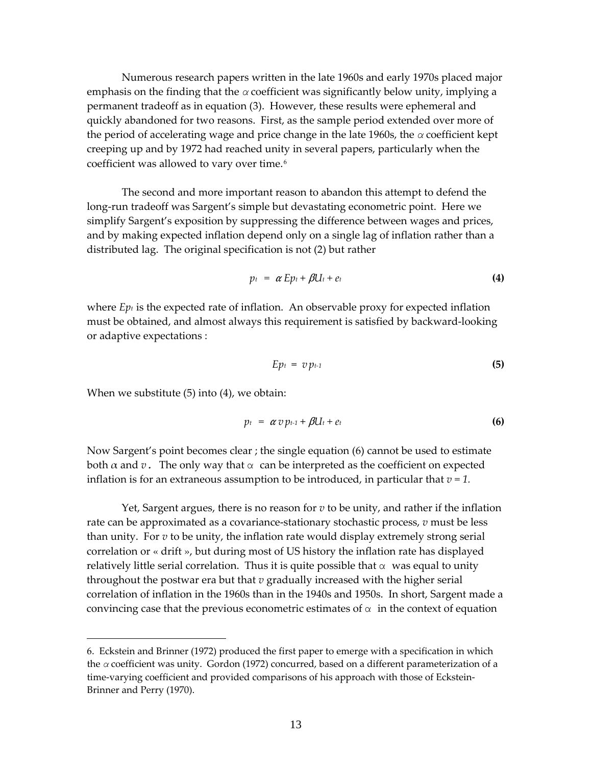Numerous research papers written in the late 1960s and early 1970s placed major emphasis on the finding that the *α* coefficient was significantly below unity, implying a permanent tradeoff as in equation (3). However, these results were ephemeral and quickly abandoned for two reasons. First, as the sample period extended over more of the period of accelerating wage and price change in the late 1960s, the *α* coefficient kept creeping up and by 1972 had reached unity in several papers, particularly when the coefficient was allowed to vary over time.<sup>[6](#page-15-0)</sup>

The second and more important reason to abandon this attempt to defend the long-run tradeoff was Sargent's simple but devastating econometric point. Here we simplify Sargent's exposition by suppressing the difference between wages and prices, and by making expected inflation depend only on a single lag of inflation rather than a distributed lag. The original specification is not (2) but rather

$$
p_t = \alpha Ep_t + \beta U_t + e_t \tag{4}
$$

where  $E_{pt}$  is the expected rate of inflation. An observable proxy for expected inflation must be obtained, and almost always this requirement is satisfied by backward‐looking or adaptive expectations :

$$
Ep_t = v p_{t-1} \tag{5}
$$

When we substitute (5) into (4), we obtain:

 $\overline{a}$ 

$$
p_t = \alpha v p_{t-1} + \beta U_t + e_t \tag{6}
$$

Now Sargent's point becomes clear ; the single equation (6) cannot be used to estimate both  $\alpha$  and  $\upsilon$ . The only way that  $\alpha$  can be interpreted as the coefficient on expected inflation is for an extraneous assumption to be introduced, in particular that  $v = 1$ .

Yet, Sargent argues, there is no reason for *v* to be unity, and rather if the inflation rate can be approximated as a covariance-stationary stochastic process, *v* must be less than unity. For *v* to be unity, the inflation rate would display extremely strong serial correlation or « drift », but during most of US history the inflation rate has displayed relatively little serial correlation. Thus it is quite possible that  $\alpha$  was equal to unity throughout the postwar era but that *v* gradually increased with the higher serial correlation of inflation in the 1960s than in the 1940s and 1950s. In short, Sargent made a convincing case that the previous econometric estimates of  $\alpha$  in the context of equation

<span id="page-15-0"></span><sup>6.</sup> Eckstein and Brinner (1972) produced the first paper to emerge with a specification in which the *α* coefficient was unity. Gordon (1972) concurred, based on a different parameterization of a time-varying coefficient and provided comparisons of his approach with those of Eckstein-Brinner and Perry (1970).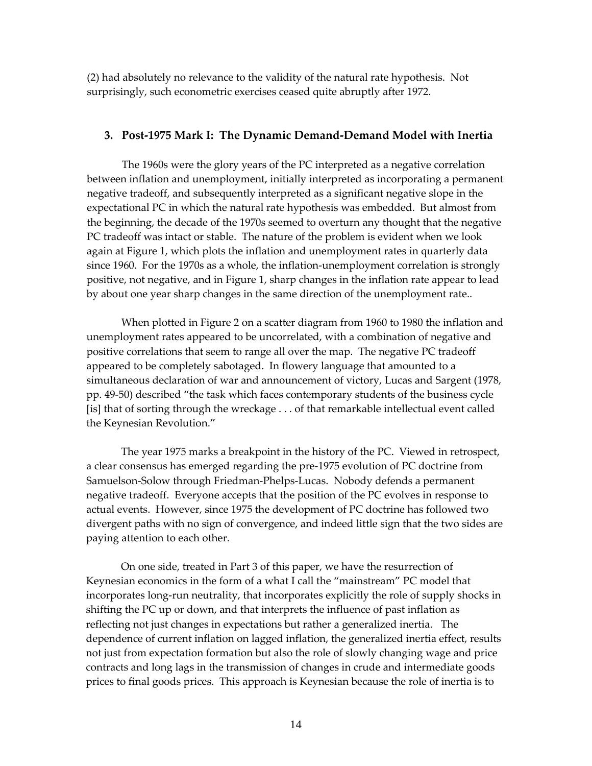(2) had absolutely no relevance to the validity of the natural rate hypothesis. Not surprisingly, such econometric exercises ceased quite abruptly after 1972.

#### **3. Post‐1975 Mark I: The Dynamic Demand‐Demand Model with Inertia**

The 1960s were the glory years of the PC interpreted as a negative correlation between inflation and unemployment, initially interpreted as incorporating a permanent negative tradeoff, and subsequently interpreted as a significant negative slope in the expectational PC in which the natural rate hypothesis was embedded. But almost from the beginning, the decade of the 1970s seemed to overturn any thought that the negative PC tradeoff was intact or stable. The nature of the problem is evident when we look again at Figure 1, which plots the inflation and unemployment rates in quarterly data since 1960. For the 1970s as a whole, the inflation-unemployment correlation is strongly positive, not negative, and in Figure 1, sharp changes in the inflation rate appear to lead by about one year sharp changes in the same direction of the unemployment rate..

When plotted in Figure 2 on a scatter diagram from 1960 to 1980 the inflation and unemployment rates appeared to be uncorrelated, with a combination of negative and positive correlations that seem to range all over the map. The negative PC tradeoff appeared to be completely sabotaged. In flowery language that amounted to a simultaneous declaration of war and announcement of victory, Lucas and Sargent (1978, pp. 49‐50) described "the task which faces contemporary students of the business cycle [is] that of sorting through the wreckage . . . of that remarkable intellectual event called the Keynesian Revolution."

The year 1975 marks a breakpoint in the history of the PC. Viewed in retrospect, a clear consensus has emerged regarding the pre‐1975 evolution of PC doctrine from Samuelson‐Solow through Friedman‐Phelps‐Lucas. Nobody defends a permanent negative tradeoff. Everyone accepts that the position of the PC evolves in response to actual events. However, since 1975 the development of PC doctrine has followed two divergent paths with no sign of convergence, and indeed little sign that the two sides are paying attention to each other.

On one side, treated in Part 3 of this paper, we have the resurrection of Keynesian economics in the form of a what I call the "mainstream" PC model that incorporates long‐run neutrality, that incorporates explicitly the role of supply shocks in shifting the PC up or down, and that interprets the influence of past inflation as reflecting not just changes in expectations but rather a generalized inertia. The dependence of current inflation on lagged inflation, the generalized inertia effect, results not just from expectation formation but also the role of slowly changing wage and price contracts and long lags in the transmission of changes in crude and intermediate goods prices to final goods prices. This approach is Keynesian because the role of inertia is to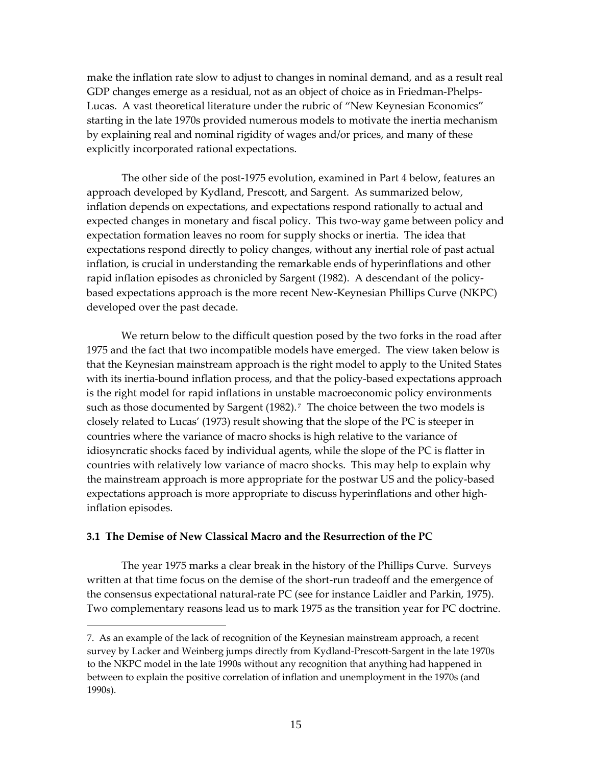make the inflation rate slow to adjust to changes in nominal demand, and as a result real GDP changes emerge as a residual, not as an object of choice as in Friedman-Phelps-Lucas. A vast theoretical literature under the rubric of "New Keynesian Economics" starting in the late 1970s provided numerous models to motivate the inertia mechanism by explaining real and nominal rigidity of wages and/or prices, and many of these explicitly incorporated rational expectations.

The other side of the post-1975 evolution, examined in Part 4 below, features an approach developed by Kydland, Prescott, and Sargent. As summarized below, inflation depends on expectations, and expectations respond rationally to actual and expected changes in monetary and fiscal policy. This two-way game between policy and expectation formation leaves no room for supply shocks or inertia. The idea that expectations respond directly to policy changes, without any inertial role of past actual inflation, is crucial in understanding the remarkable ends of hyperinflations and other rapid inflation episodes as chronicled by Sargent (1982). A descendant of the policy‐ based expectations approach is the more recent New‐Keynesian Phillips Curve (NKPC) developed over the past decade.

We return below to the difficult question posed by the two forks in the road after 1975 and the fact that two incompatible models have emerged. The view taken below is that the Keynesian mainstream approach is the right model to apply to the United States with its inertia-bound inflation process, and that the policy-based expectations approach is the right model for rapid inflations in unstable macroeconomic policy environments such as those documented by Sargent  $(1982)$ .<sup>[7](#page-17-0)</sup> The choice between the two models is closely related to Lucas' (1973) result showing that the slope of the PC is steeper in countries where the variance of macro shocks is high relative to the variance of idiosyncratic shocks faced by individual agents, while the slope of the PC is flatter in countries with relatively low variance of macro shocks. This may help to explain why the mainstream approach is more appropriate for the postwar US and the policy‐based expectations approach is more appropriate to discuss hyperinflations and other high‐ inflation episodes.

## **3.1 The Demise of New Classical Macro and the Resurrection of the PC**

 $\overline{a}$ 

The year 1975 marks a clear break in the history of the Phillips Curve. Surveys written at that time focus on the demise of the short-run tradeoff and the emergence of the consensus expectational natural‐rate PC (see for instance Laidler and Parkin, 1975). Two complementary reasons lead us to mark 1975 as the transition year for PC doctrine.

<span id="page-17-0"></span><sup>7.</sup> As an example of the lack of recognition of the Keynesian mainstream approach, a recent survey by Lacker and Weinberg jumps directly from Kydland‐Prescott‐Sargent in the late 1970s to the NKPC model in the late 1990s without any recognition that anything had happened in between to explain the positive correlation of inflation and unemployment in the 1970s (and 1990s).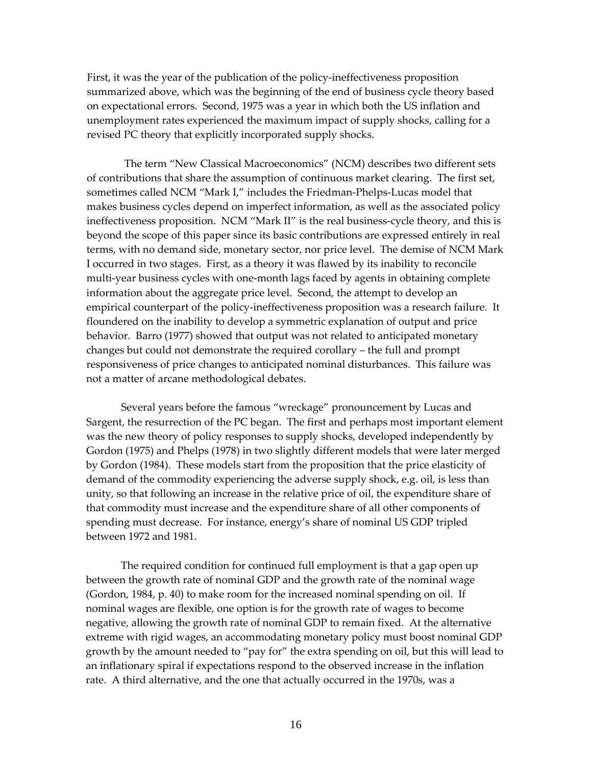First, it was the year of the publication of the policy-ineffectiveness proposition summarized above, which was the beginning of the end of business cycle theory based on expectational errors. Second, 1975 was a year in which both the US inflation and unemployment rates experienced the maximum impact of supply shocks, calling for a revised PC theory that explicitly incorporated supply shocks.

The term "New Classical Macroeconomics" (NCM) describes two different sets of contributions that share the assumption of continuous market clearing. The first set, sometimes called NCM "Mark I," includes the Friedman-Phelps-Lucas model that makes business cycles depend on imperfect information, as well as the associated policy ineffectiveness proposition. NCM "Mark II" is the real business-cycle theory, and this is beyond the scope of this paper since its basic contributions are expressed entirely in real terms, with no demand side, monetary sector, nor price level. The demise of NCM Mark I occurred in two stages. First, as a theory it was flawed by its inability to reconcile multi‐year business cycles with one‐month lags faced by agents in obtaining complete information about the aggregate price level. Second, the attempt to develop an empirical counterpart of the policy-ineffectiveness proposition was a research failure. It floundered on the inability to develop a symmetric explanation of output and price behavior. Barro (1977) showed that output was not related to anticipated monetary changes but could not demonstrate the required corollary – the full and prompt responsiveness of price changes to anticipated nominal disturbances. This failure was not a matter of arcane methodological debates.

Several years before the famous "wreckage" pronouncement by Lucas and Sargent, the resurrection of the PC began. The first and perhaps most important element was the new theory of policy responses to supply shocks, developed independently by Gordon (1975) and Phelps (1978) in two slightly different models that were later merged by Gordon (1984). These models start from the proposition that the price elasticity of demand of the commodity experiencing the adverse supply shock, e.g. oil, is less than unity, so that following an increase in the relative price of oil, the expenditure share of that commodity must increase and the expenditure share of all other components of spending must decrease. For instance, energy's share of nominal US GDP tripled between 1972 and 1981.

The required condition for continued full employment is that a gap open up between the growth rate of nominal GDP and the growth rate of the nominal wage (Gordon, 1984, p. 40) to make room for the increased nominal spending on oil. If nominal wages are flexible, one option is for the growth rate of wages to become negative, allowing the growth rate of nominal GDP to remain fixed. At the alternative extreme with rigid wages, an accommodating monetary policy must boost nominal GDP growth by the amount needed to "pay for" the extra spending on oil, but this will lead to an inflationary spiral if expectations respond to the observed increase in the inflation rate. A third alternative, and the one that actually occurred in the 1970s, was a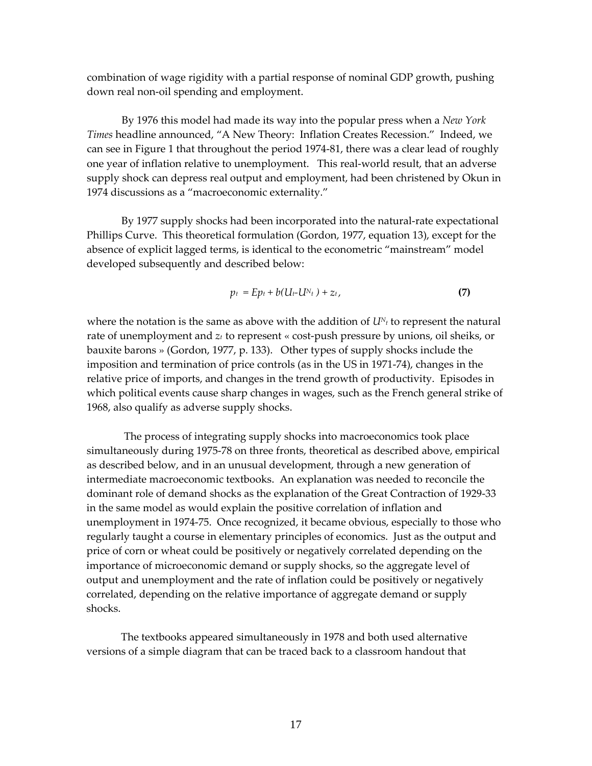combination of wage rigidity with a partial response of nominal GDP growth, pushing down real non‐oil spending and employment.

By 1976 this model had made its way into the popular press when a *New York Times* headline announced, "A New Theory: Inflation Creates Recession." Indeed, we can see in Figure 1 that throughout the period 1974‐81, there was a clear lead of roughly one year of inflation relative to unemployment. This real‐world result, that an adverse supply shock can depress real output and employment, had been christened by Okun in 1974 discussions as a "macroeconomic externality."

By 1977 supply shocks had been incorporated into the natural-rate expectational Phillips Curve. This theoretical formulation (Gordon, 1977, equation 13), except for the absence of explicit lagged terms, is identical to the econometric "mainstream" model developed subsequently and described below:

$$
p_t = Ep_t + b(U_t-U_{t}) + z_t, \qquad (7)
$$

where the notation is the same as above with the addition of  $U_{N_t}$  to represent the natural rate of unemployment and  $z_t$  to represent « cost-push pressure by unions, oil sheiks, or bauxite barons » (Gordon, 1977, p. 133). Other types of supply shocks include the imposition and termination of price controls (as in the US in 1971‐74), changes in the relative price of imports, and changes in the trend growth of productivity. Episodes in which political events cause sharp changes in wages, such as the French general strike of 1968, also qualify as adverse supply shocks.

 The process of integrating supply shocks into macroeconomics took place simultaneously during 1975‐78 on three fronts, theoretical as described above, empirical as described below, and in an unusual development, through a new generation of intermediate macroeconomic textbooks. An explanation was needed to reconcile the dominant role of demand shocks as the explanation of the Great Contraction of 1929‐33 in the same model as would explain the positive correlation of inflation and unemployment in 1974‐75. Once recognized, it became obvious, especially to those who regularly taught a course in elementary principles of economics. Just as the output and price of corn or wheat could be positively or negatively correlated depending on the importance of microeconomic demand or supply shocks, so the aggregate level of output and unemployment and the rate of inflation could be positively or negatively correlated, depending on the relative importance of aggregate demand or supply shocks.

 The textbooks appeared simultaneously in 1978 and both used alternative versions of a simple diagram that can be traced back to a classroom handout that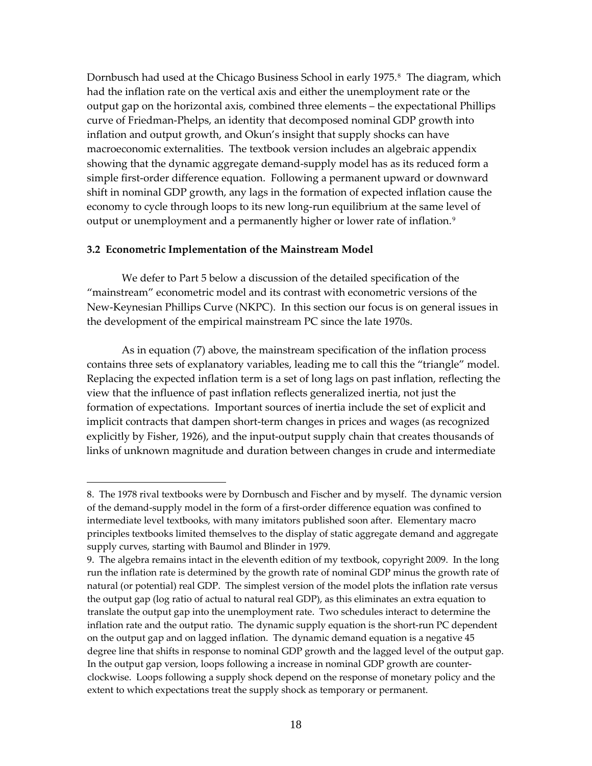Dornbusch had used at the Chicago Business School in early 1975.<sup>[8](#page-20-0)</sup> The diagram, which had the inflation rate on the vertical axis and either the unemployment rate or the output gap on the horizontal axis, combined three elements – the expectational Phillips curve of Friedman‐Phelps, an identity that decomposed nominal GDP growth into inflation and output growth, and Okun's insight that supply shocks can have macroeconomic externalities. The textbook version includes an algebraic appendix showing that the dynamic aggregate demand‐supply model has as its reduced form a simple first-order difference equation. Following a permanent upward or downward shift in nominal GDP growth, any lags in the formation of expected inflation cause the economy to cycle through loops to its new long‐run equilibrium at the same level of output or unemployment and a permanently higher or lower rate of inflation.<sup>[9](#page-20-1)</sup>

#### **3.2 Econometric Implementation of the Mainstream Model**

 $\overline{a}$ 

We defer to Part 5 below a discussion of the detailed specification of the "mainstream" econometric model and its contrast with econometric versions of the New‐Keynesian Phillips Curve (NKPC). In this section our focus is on general issues in the development of the empirical mainstream PC since the late 1970s.

As in equation (7) above, the mainstream specification of the inflation process contains three sets of explanatory variables, leading me to call this the "triangle" model. Replacing the expected inflation term is a set of long lags on past inflation, reflecting the view that the influence of past inflation reflects generalized inertia, not just the formation of expectations. Important sources of inertia include the set of explicit and implicit contracts that dampen short‐term changes in prices and wages (as recognized explicitly by Fisher, 1926), and the input-output supply chain that creates thousands of links of unknown magnitude and duration between changes in crude and intermediate

<span id="page-20-0"></span><sup>8.</sup> The 1978 rival textbooks were by Dornbusch and Fischer and by myself. The dynamic version of the demand‐supply model in the form of a first‐order difference equation was confined to intermediate level textbooks, with many imitators published soon after. Elementary macro principles textbooks limited themselves to the display of static aggregate demand and aggregate supply curves, starting with Baumol and Blinder in 1979.

<span id="page-20-1"></span><sup>9.</sup> The algebra remains intact in the eleventh edition of my textbook, copyright 2009. In the long run the inflation rate is determined by the growth rate of nominal GDP minus the growth rate of natural (or potential) real GDP. The simplest version of the model plots the inflation rate versus the output gap (log ratio of actual to natural real GDP), as this eliminates an extra equation to translate the output gap into the unemployment rate. Two schedules interact to determine the inflation rate and the output ratio. The dynamic supply equation is the short-run PC dependent on the output gap and on lagged inflation. The dynamic demand equation is a negative 45 degree line that shifts in response to nominal GDP growth and the lagged level of the output gap. In the output gap version, loops following a increase in nominal GDP growth are counter‐ clockwise. Loops following a supply shock depend on the response of monetary policy and the extent to which expectations treat the supply shock as temporary or permanent.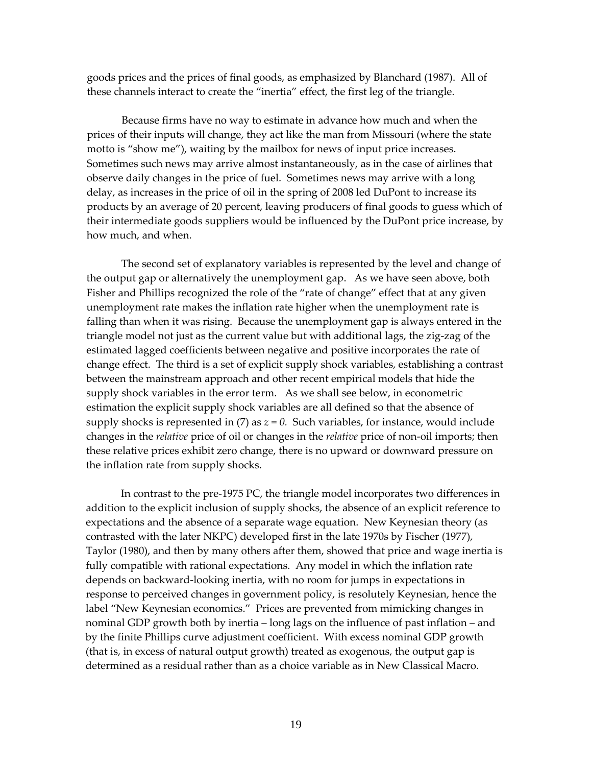goods prices and the prices of final goods, as emphasized by Blanchard (1987). All of these channels interact to create the "inertia" effect, the first leg of the triangle.

Because firms have no way to estimate in advance how much and when the prices of their inputs will change, they act like the man from Missouri (where the state motto is "show me"), waiting by the mailbox for news of input price increases. Sometimes such news may arrive almost instantaneously, as in the case of airlines that observe daily changes in the price of fuel. Sometimes news may arrive with a long delay, as increases in the price of oil in the spring of 2008 led DuPont to increase its products by an average of 20 percent, leaving producers of final goods to guess which of their intermediate goods suppliers would be influenced by the DuPont price increase, by how much, and when.

The second set of explanatory variables is represented by the level and change of the output gap or alternatively the unemployment gap. As we have seen above, both Fisher and Phillips recognized the role of the "rate of change" effect that at any given unemployment rate makes the inflation rate higher when the unemployment rate is falling than when it was rising. Because the unemployment gap is always entered in the triangle model not just as the current value but with additional lags, the zig‐zag of the estimated lagged coefficients between negative and positive incorporates the rate of change effect. The third is a set of explicit supply shock variables, establishing a contrast between the mainstream approach and other recent empirical models that hide the supply shock variables in the error term. As we shall see below, in econometric estimation the explicit supply shock variables are all defined so that the absence of supply shocks is represented in (7) as  $z = 0$ . Such variables, for instance, would include changes in the *relative* price of oil or changes in the *relative* price of non‐oil imports; then these relative prices exhibit zero change, there is no upward or downward pressure on the inflation rate from supply shocks.

In contrast to the pre-1975 PC, the triangle model incorporates two differences in addition to the explicit inclusion of supply shocks, the absence of an explicit reference to expectations and the absence of a separate wage equation. New Keynesian theory (as contrasted with the later NKPC) developed first in the late 1970s by Fischer (1977), Taylor (1980), and then by many others after them, showed that price and wage inertia is fully compatible with rational expectations. Any model in which the inflation rate depends on backward‐looking inertia, with no room for jumps in expectations in response to perceived changes in government policy, is resolutely Keynesian, hence the label "New Keynesian economics." Prices are prevented from mimicking changes in nominal GDP growth both by inertia – long lags on the influence of past inflation – and by the finite Phillips curve adjustment coefficient. With excess nominal GDP growth (that is, in excess of natural output growth) treated as exogenous, the output gap is determined as a residual rather than as a choice variable as in New Classical Macro.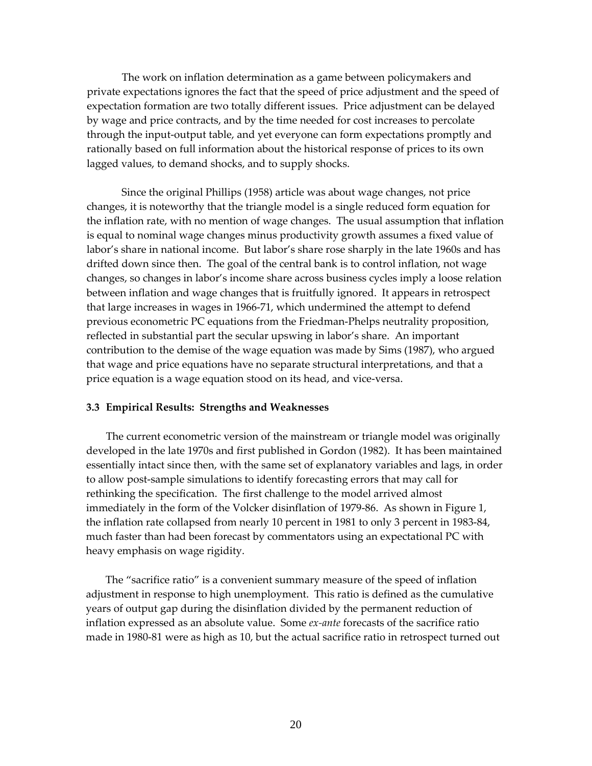The work on inflation determination as a game between policymakers and private expectations ignores the fact that the speed of price adjustment and the speed of expectation formation are two totally different issues. Price adjustment can be delayed by wage and price contracts, and by the time needed for cost increases to percolate through the input‐output table, and yet everyone can form expectations promptly and rationally based on full information about the historical response of prices to its own lagged values, to demand shocks, and to supply shocks.

Since the original Phillips (1958) article was about wage changes, not price changes, it is noteworthy that the triangle model is a single reduced form equation for the inflation rate, with no mention of wage changes. The usual assumption that inflation is equal to nominal wage changes minus productivity growth assumes a fixed value of labor's share in national income. But labor's share rose sharply in the late 1960s and has drifted down since then. The goal of the central bank is to control inflation, not wage changes, so changes in labor's income share across business cycles imply a loose relation between inflation and wage changes that is fruitfully ignored. It appears in retrospect that large increases in wages in 1966‐71, which undermined the attempt to defend previous econometric PC equations from the Friedman‐Phelps neutrality proposition, reflected in substantial part the secular upswing in labor's share. An important contribution to the demise of the wage equation was made by Sims (1987), who argued that wage and price equations have no separate structural interpretations, and that a price equation is a wage equation stood on its head, and vice‐versa.

#### **3.3 Empirical Results: Strengths and Weaknesses**

The current econometric version of the mainstream or triangle model was originally developed in the late 1970s and first published in Gordon (1982). It has been maintained essentially intact since then, with the same set of explanatory variables and lags, in order to allow post‐sample simulations to identify forecasting errors that may call for rethinking the specification. The first challenge to the model arrived almost immediately in the form of the Volcker disinflation of 1979‐86. As shown in Figure 1, the inflation rate collapsed from nearly 10 percent in 1981 to only 3 percent in 1983‐84, much faster than had been forecast by commentators using an expectational PC with heavy emphasis on wage rigidity.

The "sacrifice ratio" is a convenient summary measure of the speed of inflation adjustment in response to high unemployment. This ratio is defined as the cumulative years of output gap during the disinflation divided by the permanent reduction of inflation expressed as an absolute value. Some *ex‐ante* forecasts of the sacrifice ratio made in 1980‐81 were as high as 10, but the actual sacrifice ratio in retrospect turned out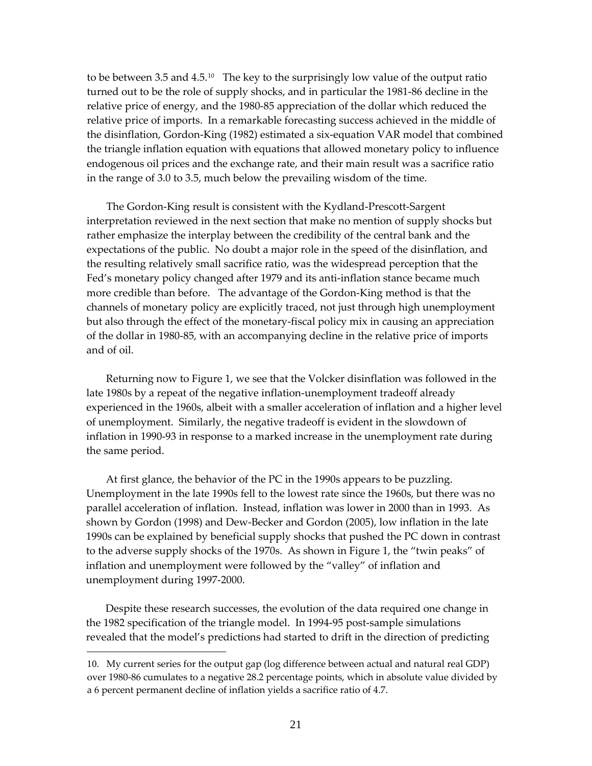to be between 3.5 and  $4.5<sup>10</sup>$  $4.5<sup>10</sup>$  $4.5<sup>10</sup>$  The key to the surprisingly low value of the output ratio turned out to be the role of supply shocks, and in particular the 1981‐86 decline in the relative price of energy, and the 1980‐85 appreciation of the dollar which reduced the relative price of imports. In a remarkable forecasting success achieved in the middle of the disinflation, Gordon‐King (1982) estimated a six‐equation VAR model that combined the triangle inflation equation with equations that allowed monetary policy to influence endogenous oil prices and the exchange rate, and their main result was a sacrifice ratio in the range of 3.0 to 3.5, much below the prevailing wisdom of the time.

The Gordon‐King result is consistent with the Kydland‐Prescott‐Sargent interpretation reviewed in the next section that make no mention of supply shocks but rather emphasize the interplay between the credibility of the central bank and the expectations of the public. No doubt a major role in the speed of the disinflation, and the resulting relatively small sacrifice ratio, was the widespread perception that the Fed's monetary policy changed after 1979 and its anti-inflation stance became much more credible than before. The advantage of the Gordon‐King method is that the channels of monetary policy are explicitly traced, not just through high unemployment but also through the effect of the monetary‐fiscal policy mix in causing an appreciation of the dollar in 1980‐85, with an accompanying decline in the relative price of imports and of oil.

Returning now to Figure 1, we see that the Volcker disinflation was followed in the late 1980s by a repeat of the negative inflation-unemployment tradeoff already experienced in the 1960s, albeit with a smaller acceleration of inflation and a higher level of unemployment. Similarly, the negative tradeoff is evident in the slowdown of inflation in 1990‐93 in response to a marked increase in the unemployment rate during the same period.

At first glance, the behavior of the PC in the 1990s appears to be puzzling. Unemployment in the late 1990s fell to the lowest rate since the 1960s, but there was no parallel acceleration of inflation. Instead, inflation was lower in 2000 than in 1993. As shown by Gordon (1998) and Dew‐Becker and Gordon (2005), low inflation in the late 1990s can be explained by beneficial supply shocks that pushed the PC down in contrast to the adverse supply shocks of the 1970s. As shown in Figure 1, the "twin peaks" of inflation and unemployment were followed by the "valley" of inflation and unemployment during 1997‐2000.

Despite these research successes, the evolution of the data required one change in the 1982 specification of the triangle model. In 1994‐95 post‐sample simulations revealed that the model's predictions had started to drift in the direction of predicting

 $\overline{a}$ 

<span id="page-23-0"></span><sup>10.</sup> My current series for the output gap (log difference between actual and natural real GDP) over 1980‐86 cumulates to a negative 28.2 percentage points, which in absolute value divided by a 6 percent permanent decline of inflation yields a sacrifice ratio of 4.7.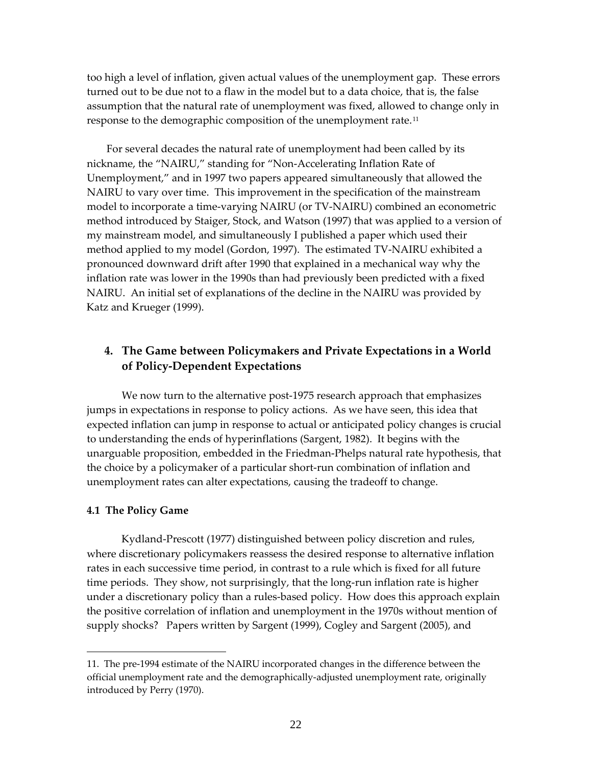too high a level of inflation, given actual values of the unemployment gap. These errors turned out to be due not to a flaw in the model but to a data choice, that is, the false assumption that the natural rate of unemployment was fixed, allowed to change only in response to the demographic composition of the unemployment rate.<sup>[11](#page-24-0)</sup>

For several decades the natural rate of unemployment had been called by its nickname, the "NAIRU," standing for "Non‐Accelerating Inflation Rate of Unemployment," and in 1997 two papers appeared simultaneously that allowed the NAIRU to vary over time. This improvement in the specification of the mainstream model to incorporate a time‐varying NAIRU (or TV‐NAIRU) combined an econometric method introduced by Staiger, Stock, and Watson (1997) that was applied to a version of my mainstream model, and simultaneously I published a paper which used their method applied to my model (Gordon, 1997). The estimated TV‐NAIRU exhibited a pronounced downward drift after 1990 that explained in a mechanical way why the inflation rate was lower in the 1990s than had previously been predicted with a fixed NAIRU. An initial set of explanations of the decline in the NAIRU was provided by Katz and Krueger (1999).

# **4. The Game between Policymakers and Private Expectations in a World of Policy‐Dependent Expectations**

We now turn to the alternative post-1975 research approach that emphasizes jumps in expectations in response to policy actions. As we have seen, this idea that expected inflation can jump in response to actual or anticipated policy changes is crucial to understanding the ends of hyperinflations (Sargent, 1982). It begins with the unarguable proposition, embedded in the Friedman‐Phelps natural rate hypothesis, that the choice by a policymaker of a particular short‐run combination of inflation and unemployment rates can alter expectations, causing the tradeoff to change.

## **4.1 The Policy Game**

 $\overline{a}$ 

Kydland‐Prescott (1977) distinguished between policy discretion and rules, where discretionary policymakers reassess the desired response to alternative inflation rates in each successive time period, in contrast to a rule which is fixed for all future time periods. They show, not surprisingly, that the long‐run inflation rate is higher under a discretionary policy than a rules‐based policy. How does this approach explain the positive correlation of inflation and unemployment in the 1970s without mention of supply shocks? Papers written by Sargent (1999), Cogley and Sargent (2005), and

<span id="page-24-0"></span><sup>11.</sup> The pre‐1994 estimate of the NAIRU incorporated changes in the difference between the official unemployment rate and the demographically‐adjusted unemployment rate, originally introduced by Perry (1970).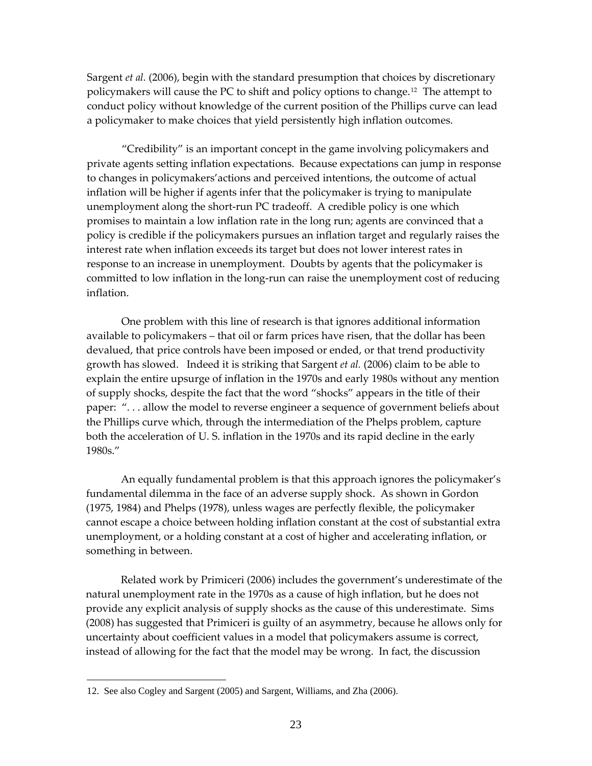Sargent *et al.* (2006), begin with the standard presumption that choices by discretionary policymakers will cause the PC to shift and policy options to change.[12](#page-25-0) The attempt to conduct policy without knowledge of the current position of the Phillips curve can lead a policymaker to make choices that yield persistently high inflation outcomes.

"Credibility" is an important concept in the game involving policymakers and private agents setting inflation expectations. Because expectations can jump in response to changes in policymakers'actions and perceived intentions, the outcome of actual inflation will be higher if agents infer that the policymaker is trying to manipulate unemployment along the short‐run PC tradeoff. A credible policy is one which promises to maintain a low inflation rate in the long run; agents are convinced that a policy is credible if the policymakers pursues an inflation target and regularly raises the interest rate when inflation exceeds its target but does not lower interest rates in response to an increase in unemployment. Doubts by agents that the policymaker is committed to low inflation in the long‐run can raise the unemployment cost of reducing inflation.

One problem with this line of research is that ignores additional information available to policymakers – that oil or farm prices have risen, that the dollar has been devalued, that price controls have been imposed or ended, or that trend productivity growth has slowed. Indeed it is striking that Sargent *et al.* (2006) claim to be able to explain the entire upsurge of inflation in the 1970s and early 1980s without any mention of supply shocks, despite the fact that the word "shocks" appears in the title of their paper: ". . . allow the model to reverse engineer a sequence of government beliefs about the Phillips curve which, through the intermediation of the Phelps problem, capture both the acceleration of U. S. inflation in the 1970s and its rapid decline in the early 1980s."

An equally fundamental problem is that this approach ignores the policymaker's fundamental dilemma in the face of an adverse supply shock. As shown in Gordon (1975, 1984) and Phelps (1978), unless wages are perfectly flexible, the policymaker cannot escape a choice between holding inflation constant at the cost of substantial extra unemployment, or a holding constant at a cost of higher and accelerating inflation, or something in between.

Related work by Primiceri (2006) includes the government's underestimate of the natural unemployment rate in the 1970s as a cause of high inflation, but he does not provide any explicit analysis of supply shocks as the cause of this underestimate. Sims (2008) has suggested that Primiceri is guilty of an asymmetry, because he allows only for uncertainty about coefficient values in a model that policymakers assume is correct, instead of allowing for the fact that the model may be wrong. In fact, the discussion

 $\overline{a}$ 

<span id="page-25-0"></span><sup>12.</sup> See also Cogley and Sargent (2005) and Sargent, Williams, and Zha (2006).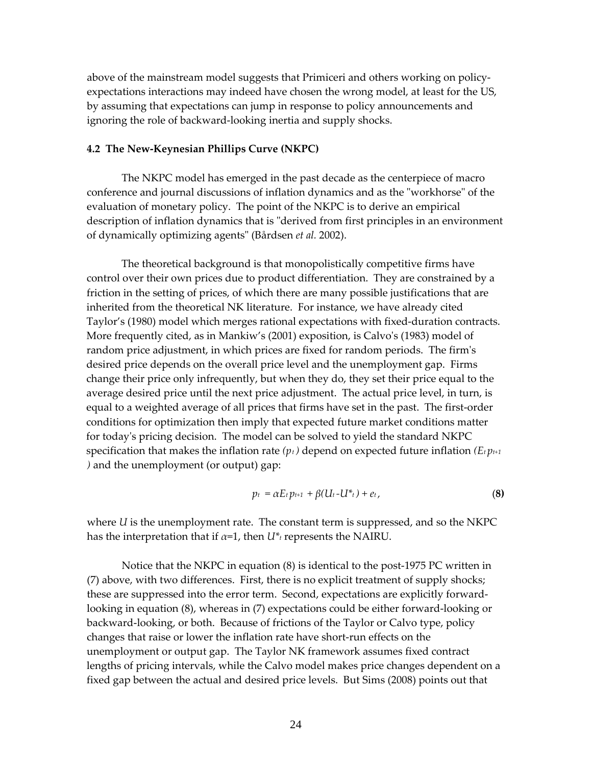above of the mainstream model suggests that Primiceri and others working on policy‐ expectations interactions may indeed have chosen the wrong model, at least for the US, by assuming that expectations can jump in response to policy announcements and ignoring the role of backward‐looking inertia and supply shocks.

## **4.2 The New‐Keynesian Phillips Curve (NKPC)**

The NKPC model has emerged in the past decade as the centerpiece of macro conference and journal discussions of inflation dynamics and as the "workhorse" of the evaluation of monetary policy. The point of the NKPC is to derive an empirical description of inflation dynamics that is "derived from first principles in an environment of dynamically optimizing agentsʺ (Bårdsen *et al.* 2002).

The theoretical background is that monopolistically competitive firms have control over their own prices due to product differentiation. They are constrained by a friction in the setting of prices, of which there are many possible justifications that are inherited from the theoretical NK literature. For instance, we have already cited Taylor's (1980) model which merges rational expectations with fixed‐duration contracts. More frequently cited, as in Mankiw's (2001) exposition, is Calvo's (1983) model of random price adjustment, in which prices are fixed for random periods. The firmʹs desired price depends on the overall price level and the unemployment gap. Firms change their price only infrequently, but when they do, they set their price equal to the average desired price until the next price adjustment. The actual price level, in turn, is equal to a weighted average of all prices that firms have set in the past. The first-order conditions for optimization then imply that expected future market conditions matter for todayʹs pricing decision. The model can be solved to yield the standard NKPC specification that makes the inflation rate  $(p_t)$  depend on expected future inflation  $(E_t p_{t+1})$ *)* and the unemployment (or output) gap:

$$
p_t = \alpha E_t p_{t+1} + \beta (U_t - U^* t) + e_t, \qquad (8)
$$

where *U* is the unemployment rate. The constant term is suppressed, and so the NKPC has the interpretation that if  $\alpha=1$ , then  $U^*$ <sub>t</sub> represents the NAIRU.

Notice that the NKPC in equation (8) is identical to the post‐1975 PC written in (7) above, with two differences. First, there is no explicit treatment of supply shocks; these are suppressed into the error term. Second, expectations are explicitly forwardlooking in equation (8), whereas in (7) expectations could be either forward‐looking or backward‐looking, or both. Because of frictions of the Taylor or Calvo type, policy changes that raise or lower the inflation rate have short‐run effects on the unemployment or output gap. The Taylor NK framework assumes fixed contract lengths of pricing intervals, while the Calvo model makes price changes dependent on a fixed gap between the actual and desired price levels. But Sims (2008) points out that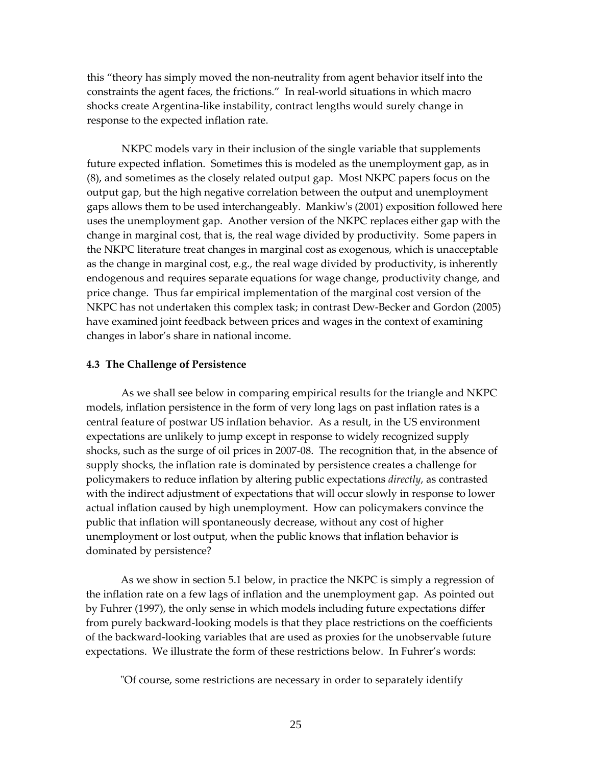this "theory has simply moved the non‐neutrality from agent behavior itself into the constraints the agent faces, the frictions." In real-world situations in which macro shocks create Argentina‐like instability, contract lengths would surely change in response to the expected inflation rate.

NKPC models vary in their inclusion of the single variable that supplements future expected inflation. Sometimes this is modeled as the unemployment gap, as in (8), and sometimes as the closely related output gap. Most NKPC papers focus on the output gap, but the high negative correlation between the output and unemployment gaps allows them to be used interchangeably. Mankiwʹs (2001) exposition followed here uses the unemployment gap. Another version of the NKPC replaces either gap with the change in marginal cost, that is, the real wage divided by productivity. Some papers in the NKPC literature treat changes in marginal cost as exogenous, which is unacceptable as the change in marginal cost, e.g., the real wage divided by productivity, is inherently endogenous and requires separate equations for wage change, productivity change, and price change. Thus far empirical implementation of the marginal cost version of the NKPC has not undertaken this complex task; in contrast Dew‐Becker and Gordon (2005) have examined joint feedback between prices and wages in the context of examining changes in labor's share in national income.

#### **4.3 The Challenge of Persistence**

As we shall see below in comparing empirical results for the triangle and NKPC models, inflation persistence in the form of very long lags on past inflation rates is a central feature of postwar US inflation behavior. As a result, in the US environment expectations are unlikely to jump except in response to widely recognized supply shocks, such as the surge of oil prices in 2007‐08. The recognition that, in the absence of supply shocks, the inflation rate is dominated by persistence creates a challenge for policymakers to reduce inflation by altering public expectations *directly*, as contrasted with the indirect adjustment of expectations that will occur slowly in response to lower actual inflation caused by high unemployment. How can policymakers convince the public that inflation will spontaneously decrease, without any cost of higher unemployment or lost output, when the public knows that inflation behavior is dominated by persistence?

As we show in section 5.1 below, in practice the NKPC is simply a regression of the inflation rate on a few lags of inflation and the unemployment gap. As pointed out by Fuhrer (1997), the only sense in which models including future expectations differ from purely backward‐looking models is that they place restrictions on the coefficients of the backward‐looking variables that are used as proxies for the unobservable future expectations. We illustrate the form of these restrictions below. In Fuhrer's words:

ʺOf course, some restrictions are necessary in order to separately identify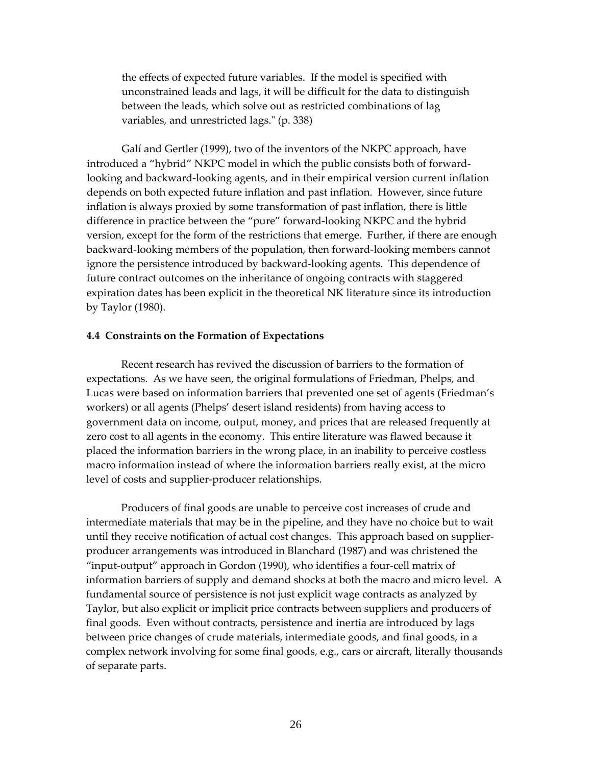the effects of expected future variables. If the model is specified with unconstrained leads and lags, it will be difficult for the data to distinguish between the leads, which solve out as restricted combinations of lag variables, and unrestricted lags." (p. 338)

Galí and Gertler (1999), two of the inventors of the NKPC approach, have introduced a "hybrid" NKPC model in which the public consists both of forward‐ looking and backward‐looking agents, and in their empirical version current inflation depends on both expected future inflation and past inflation. However, since future inflation is always proxied by some transformation of past inflation, there is little difference in practice between the "pure" forward‐looking NKPC and the hybrid version, except for the form of the restrictions that emerge. Further, if there are enough backward‐looking members of the population, then forward‐looking members cannot ignore the persistence introduced by backward‐looking agents. This dependence of future contract outcomes on the inheritance of ongoing contracts with staggered expiration dates has been explicit in the theoretical NK literature since its introduction by Taylor (1980).

#### **4.4 Constraints on the Formation of Expectations**

Recent research has revived the discussion of barriers to the formation of expectations. As we have seen, the original formulations of Friedman, Phelps, and Lucas were based on information barriers that prevented one set of agents (Friedman's workers) or all agents (Phelps' desert island residents) from having access to government data on income, output, money, and prices that are released frequently at zero cost to all agents in the economy. This entire literature was flawed because it placed the information barriers in the wrong place, in an inability to perceive costless macro information instead of where the information barriers really exist, at the micro level of costs and supplier‐producer relationships.

Producers of final goods are unable to perceive cost increases of crude and intermediate materials that may be in the pipeline, and they have no choice but to wait until they receive notification of actual cost changes. This approach based on supplier‐ producer arrangements was introduced in Blanchard (1987) and was christened the "input‐output" approach in Gordon (1990), who identifies a four‐cell matrix of information barriers of supply and demand shocks at both the macro and micro level. A fundamental source of persistence is not just explicit wage contracts as analyzed by Taylor, but also explicit or implicit price contracts between suppliers and producers of final goods. Even without contracts, persistence and inertia are introduced by lags between price changes of crude materials, intermediate goods, and final goods, in a complex network involving for some final goods, e.g., cars or aircraft, literally thousands of separate parts.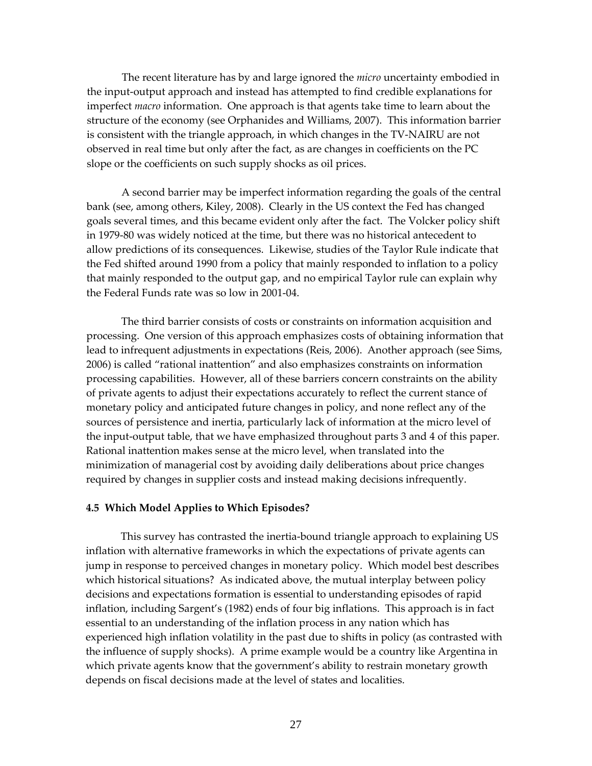The recent literature has by and large ignored the *micro* uncertainty embodied in the input‐output approach and instead has attempted to find credible explanations for imperfect *macro* information. One approach is that agents take time to learn about the structure of the economy (see Orphanides and Williams, 2007). This information barrier is consistent with the triangle approach, in which changes in the TV‐NAIRU are not observed in real time but only after the fact, as are changes in coefficients on the PC slope or the coefficients on such supply shocks as oil prices.

A second barrier may be imperfect information regarding the goals of the central bank (see, among others, Kiley, 2008). Clearly in the US context the Fed has changed goals several times, and this became evident only after the fact. The Volcker policy shift in 1979‐80 was widely noticed at the time, but there was no historical antecedent to allow predictions of its consequences. Likewise, studies of the Taylor Rule indicate that the Fed shifted around 1990 from a policy that mainly responded to inflation to a policy that mainly responded to the output gap, and no empirical Taylor rule can explain why the Federal Funds rate was so low in 2001‐04.

The third barrier consists of costs or constraints on information acquisition and processing. One version of this approach emphasizes costs of obtaining information that lead to infrequent adjustments in expectations (Reis, 2006). Another approach (see Sims, 2006) is called "rational inattention" and also emphasizes constraints on information processing capabilities. However, all of these barriers concern constraints on the ability of private agents to adjust their expectations accurately to reflect the current stance of monetary policy and anticipated future changes in policy, and none reflect any of the sources of persistence and inertia, particularly lack of information at the micro level of the input‐output table, that we have emphasized throughout parts 3 and 4 of this paper. Rational inattention makes sense at the micro level, when translated into the minimization of managerial cost by avoiding daily deliberations about price changes required by changes in supplier costs and instead making decisions infrequently.

#### **4.5 Which Model Applies to Which Episodes?**

This survey has contrasted the inertia‐bound triangle approach to explaining US inflation with alternative frameworks in which the expectations of private agents can jump in response to perceived changes in monetary policy. Which model best describes which historical situations? As indicated above, the mutual interplay between policy decisions and expectations formation is essential to understanding episodes of rapid inflation, including Sargent's (1982) ends of four big inflations. This approach is in fact essential to an understanding of the inflation process in any nation which has experienced high inflation volatility in the past due to shifts in policy (as contrasted with the influence of supply shocks). A prime example would be a country like Argentina in which private agents know that the government's ability to restrain monetary growth depends on fiscal decisions made at the level of states and localities.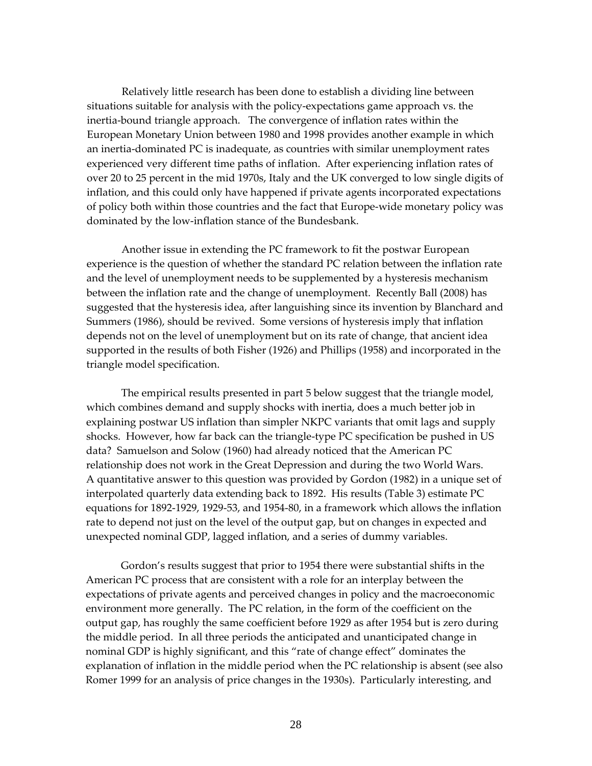Relatively little research has been done to establish a dividing line between situations suitable for analysis with the policy‐expectations game approach vs. the inertia‐bound triangle approach. The convergence of inflation rates within the European Monetary Union between 1980 and 1998 provides another example in which an inertia‐dominated PC is inadequate, as countries with similar unemployment rates experienced very different time paths of inflation. After experiencing inflation rates of over 20 to 25 percent in the mid 1970s, Italy and the UK converged to low single digits of inflation, and this could only have happened if private agents incorporated expectations of policy both within those countries and the fact that Europe‐wide monetary policy was dominated by the low‐inflation stance of the Bundesbank.

Another issue in extending the PC framework to fit the postwar European experience is the question of whether the standard PC relation between the inflation rate and the level of unemployment needs to be supplemented by a hysteresis mechanism between the inflation rate and the change of unemployment. Recently Ball (2008) has suggested that the hysteresis idea, after languishing since its invention by Blanchard and Summers (1986), should be revived. Some versions of hysteresis imply that inflation depends not on the level of unemployment but on its rate of change, that ancient idea supported in the results of both Fisher (1926) and Phillips (1958) and incorporated in the triangle model specification.

The empirical results presented in part 5 below suggest that the triangle model, which combines demand and supply shocks with inertia, does a much better job in explaining postwar US inflation than simpler NKPC variants that omit lags and supply shocks. However, how far back can the triangle‐type PC specification be pushed in US data? Samuelson and Solow (1960) had already noticed that the American PC relationship does not work in the Great Depression and during the two World Wars. A quantitative answer to this question was provided by Gordon (1982) in a unique set of interpolated quarterly data extending back to 1892. His results (Table 3) estimate PC equations for 1892‐1929, 1929‐53, and 1954‐80, in a framework which allows the inflation rate to depend not just on the level of the output gap, but on changes in expected and unexpected nominal GDP, lagged inflation, and a series of dummy variables.

Gordon's results suggest that prior to 1954 there were substantial shifts in the American PC process that are consistent with a role for an interplay between the expectations of private agents and perceived changes in policy and the macroeconomic environment more generally. The PC relation, in the form of the coefficient on the output gap, has roughly the same coefficient before 1929 as after 1954 but is zero during the middle period. In all three periods the anticipated and unanticipated change in nominal GDP is highly significant, and this "rate of change effect" dominates the explanation of inflation in the middle period when the PC relationship is absent (see also Romer 1999 for an analysis of price changes in the 1930s). Particularly interesting, and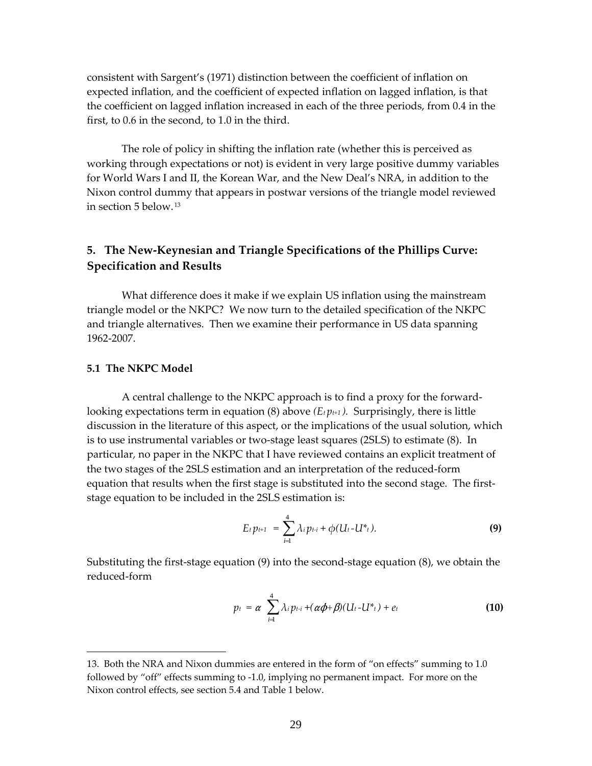consistent with Sargent's (1971) distinction between the coefficient of inflation on expected inflation, and the coefficient of expected inflation on lagged inflation, is that the coefficient on lagged inflation increased in each of the three periods, from 0.4 in the first, to 0.6 in the second, to 1.0 in the third.

The role of policy in shifting the inflation rate (whether this is perceived as working through expectations or not) is evident in very large positive dummy variables for World Wars I and II, the Korean War, and the New Deal's NRA, in addition to the Nixon control dummy that appears in postwar versions of the triangle model reviewed in section 5 below. [13](#page-31-0)

# **5. The New‐Keynesian and Triangle Specifications of the Phillips Curve: Specification and Results**

What difference does it make if we explain US inflation using the mainstream triangle model or the NKPC? We now turn to the detailed specification of the NKPC and triangle alternatives. Then we examine their performance in US data spanning 1962‐2007.

## **5.1 The NKPC Model**

 $\overline{a}$ 

A central challenge to the NKPC approach is to find a proxy for the forward‐ looking expectations term in equation (8) above  $(E_t p_{t+1})$ . Surprisingly, there is little discussion in the literature of this aspect, or the implications of the usual solution, which is to use instrumental variables or two-stage least squares (2SLS) to estimate (8). In particular, no paper in the NKPC that I have reviewed contains an explicit treatment of the two stages of the 2SLS estimation and an interpretation of the reduced‐form equation that results when the first stage is substituted into the second stage. The firststage equation to be included in the 2SLS estimation is:

$$
E_t p_{t+1} = \sum_{i=1}^4 \lambda_i p_{t-i} + \phi(U_t-U^*t). \tag{9}
$$

Substituting the first‐stage equation (9) into the second‐stage equation (8), we obtain the reduced‐form

$$
p_t = \alpha \sum_{i=1}^4 \lambda_i p_{t-i} + (\alpha \phi + \beta)(U_t - U^*_{t}) + e_t
$$
 (10)

<span id="page-31-0"></span><sup>13.</sup> Both the NRA and Nixon dummies are entered in the form of "on effects" summing to 1.0 followed by "off" effects summing to ‐1.0, implying no permanent impact. For more on the Nixon control effects, see section 5.4 and Table 1 below.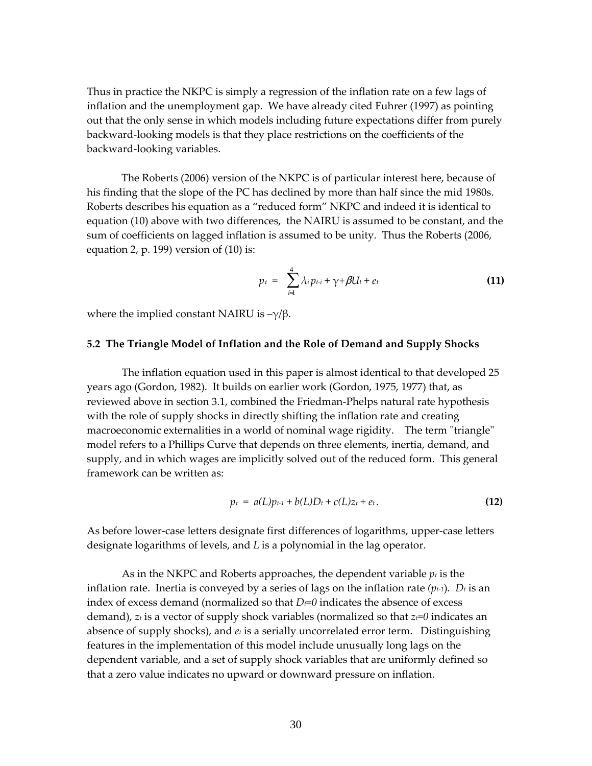Thus in practice the NKPC is simply a regression of the inflation rate on a few lags of inflation and the unemployment gap. We have already cited Fuhrer (1997) as pointing out that the only sense in which models including future expectations differ from purely backward‐looking models is that they place restrictions on the coefficients of the backward‐looking variables.

The Roberts (2006) version of the NKPC is of particular interest here, because of his finding that the slope of the PC has declined by more than half since the mid 1980s. Roberts describes his equation as a "reduced form" NKPC and indeed it is identical to equation (10) above with two differences, the NAIRU is assumed to be constant, and the sum of coefficients on lagged inflation is assumed to be unity. Thus the Roberts (2006, equation 2, p. 199) version of (10) is:

$$
p_t = \sum_{i=1}^4 \lambda_i p_{t-i} + \gamma + \beta U_t + e_t \qquad (11)
$$

where the implied constant NAIRU is  $-\gamma/\beta$ .

#### **5.2 The Triangle Model of Inflation and the Role of Demand and Supply Shocks**

The inflation equation used in this paper is almost identical to that developed 25 years ago (Gordon, 1982). It builds on earlier work (Gordon, 1975, 1977) that, as reviewed above in section 3.1, combined the Friedman‐Phelps natural rate hypothesis with the role of supply shocks in directly shifting the inflation rate and creating macroeconomic externalities in a world of nominal wage rigidity. The term "triangle" model refers to a Phillips Curve that depends on three elements, inertia, demand, and supply, and in which wages are implicitly solved out of the reduced form. This general framework can be written as:

$$
p_t = a(L)p_{t-1} + b(L)D_t + c(L)z_t + e_t.
$$
 (12)

As before lower‐case letters designate first differences of logarithms, upper‐case letters designate logarithms of levels, and *L* is a polynomial in the lag operator.

As in the NKPC and Roberts approaches, the dependent variable  $p_t$  is the inflation rate. Inertia is conveyed by a series of lags on the inflation rate  $(p_{t-1})$ .  $D_t$  is an index of excess demand (normalized so that  $D_f$ =0 indicates the absence of excess demand), *zt* is a vector of supply shock variables (normalized so that *zt=0* indicates an absence of supply shocks), and *et* is a serially uncorrelated error term. Distinguishing features in the implementation of this model include unusually long lags on the dependent variable, and a set of supply shock variables that are uniformly defined so that a zero value indicates no upward or downward pressure on inflation.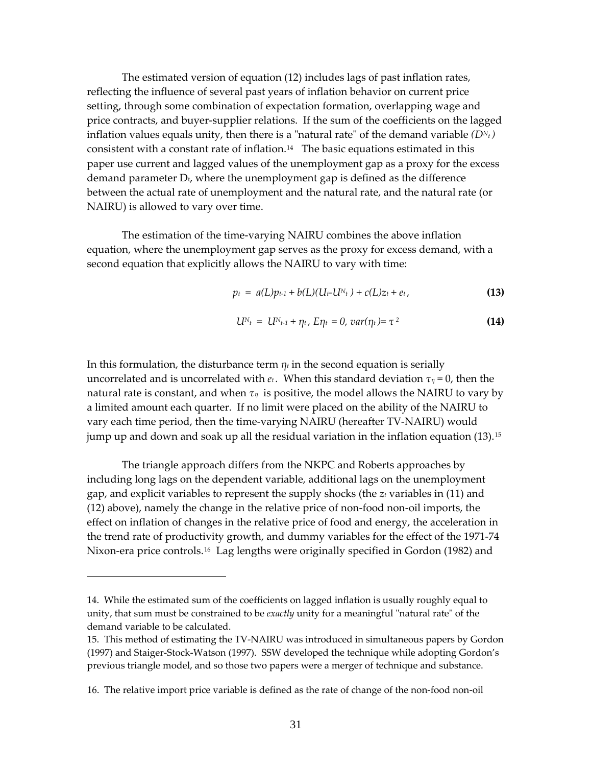The estimated version of equation (12) includes lags of past inflation rates, reflecting the influence of several past years of inflation behavior on current price setting, through some combination of expectation formation, overlapping wage and price contracts, and buyer‐supplier relations. If the sum of the coefficients on the lagged inflation values equals unity, then there is a "natural rate" of the demand variable  $(D<sup>N<sub>t</sub></sup>)$ consistent with a constant rate of inflation.<sup>[14](#page-33-0)</sup> The basic equations estimated in this paper use current and lagged values of the unemployment gap as a proxy for the e xcess demand parameter  $D_t$ , where the unemployment gap is defined as the difference between the actual rate of unemployment and the natural rate, and the natural rate (or NAIRU) is allowed to vary over time.

The estimation of the time‐varying NAIRU combines the above inflation equation, where the unemployment gap serves as the proxy for excess demand, with a second equation that explicitly allows the NAIRU to vary with time:

$$
p_t = a(L)p_{t-1} + b(L)(U_t-U_{t-1}) + c(L)z_t + e_t, \qquad (13)
$$

$$
U^{N_t} = U^{N_{t-1}} + \eta_t, E\eta_t = 0, var(\eta_t) = \tau^2
$$
 (14)

In this formulation, the disturbance term  $\eta_t$  in the second equation is serially uncorrelated and is uncorrelated with  $e_t$ . When this standard deviation  $\tau_\eta = 0$ , then the natural rate is constant, and when *τη* is positive, the model allows the NAIRU to vary by a limited amount each quarter. If no limit were placed on the ability of the NAIRU to vary each time period, then the time‐varying NAIRU (hereafter TV‐NAIRU) would jump up and down and soak up all the residual variation in the inflation equation (13).<sup>[15](#page-33-1)</sup>

The triangle approach differs from the NKPC and Roberts approaches by including long lags on the dependent variable, additional lags on the unemployment gap, and explicit variables to represent the supply shocks (the *zt* variables in (11) and (12) above), namely the change in the relative price of non‐food non‐oil imports, the effect on inflation of changes in the relative price of food and energy, the acceleration in the trend rate of productivity growth, and dummy variables for the effect of the 1971‐74 Nixon-era price controls.<sup>[16](#page-33-2)</sup> Lag lengths were originally specified in Gordon (1982) and

 $\overline{a}$ 

<span id="page-33-0"></span><sup>14.</sup> While the estimated sum of the coefficients on lagged inflation is usually roughly equal to unity, that sum must be constrained to be *exactly* unity for a meaningful "natural rate" of the demand variable to be calculated.

<span id="page-33-1"></span><sup>15.</sup> This method of estimating the TV‐NAIRU was introduced in simultaneous papers by Gordon (1997) and Staiger‐Stock‐Watson (1997). SSW developed the technique while adopting Gordon's previous triangle model, and so those two papers were a merger of technique and substance.

<span id="page-33-2"></span><sup>16.</sup> The relative import price variable is defined as the rate of change of the non‐food non‐oil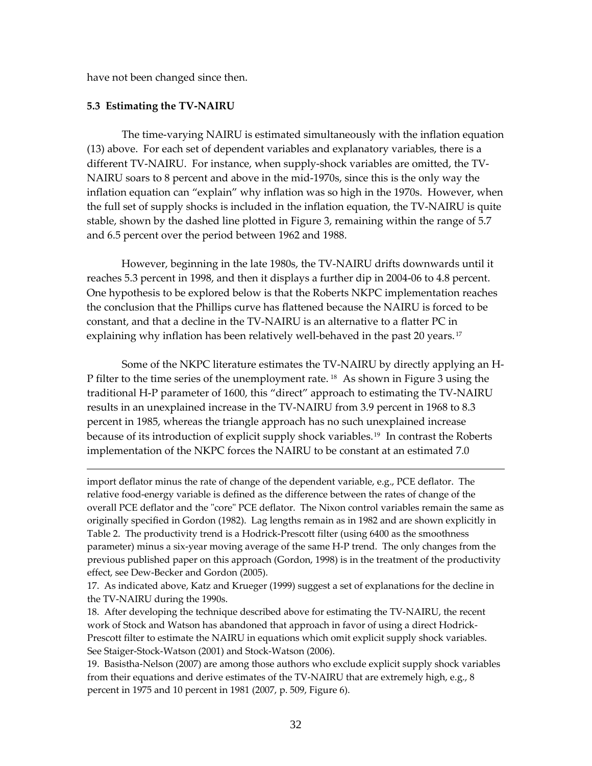have not been changed since then.

## **5.3 Estimating the TV‐NAIRU**

 $\overline{a}$ 

The time‐varying NAIRU is estimated simultaneously with the inflation equation (13) above. For each set of dependent variables and explanatory variables, there is a different TV‐NAIRU. For instance, when supply‐shock variables are omitted, the TV‐ NAIRU soars to 8 percent and above in the mid‐1970s, since this is the only way the inflation equation can "explain" why inflation was so high in the 1970s. However, when the full set of supply shocks is included in the inflation equation, the TV‐NAIRU is quite stable, shown by the dashed line plotted in Figure 3, remaining within the range of 5.7 and 6.5 percent over the period between 1962 and 1988.

However, beginning in the late 1980s, the TV‐NAIRU drifts downwards until it reaches 5.3 percent in 1998, and then it displays a further dip in 2004‐06 to 4.8 percent. One hypothesis to be explored below is that the Roberts NKPC implementation reaches the conclusion that the Phillips curve has flattened because the NAIRU is forced to be constant, and that a decline in the TV‐NAIRU is an alternative to a flatter PC in explaining why inflation has been relatively well-behaved in the past 20 years.<sup>[17](#page-34-0)</sup>

Some of the NKPC literature estimates the TV‐NAIRU by directly applying an H‐ P filter to the time series of the unemployment rate.<sup>[18](#page-34-1)</sup> As shown in Figure 3 using the traditional H‐P parameter of 1600, this "direct" approach to estimating the TV‐NAIRU results in an unexplained increase in the TV‐NAIRU from 3.9 percent in 1968 to 8.3 percent in 1985, whereas the triangle approach has no such unexplained increase because of its introduction of explicit supply shock variables.<sup>[19](#page-34-2)</sup> In contrast the Roberts implementation of the NKPC forces the NAIRU to be constant at an estimated 7.0

import deflator minus the rate of change of the dependent variable, e.g., PCE deflator. The relative food‐energy variable is defined as the difference between the rates of change of the overall PCE deflator and the "core" PCE deflator. The Nixon control variables remain the same as originally specified in Gordon (1982). Lag lengths remain as in 1982 and are shown explicitly in Table 2. The productivity trend is a Hodrick‐Prescott filter (using 6400 as the smoothness parameter) minus a six‐year moving average of the same H‐P trend. The only changes from the previous published paper on this approach (Gordon, 1998) is in the treatment of the productivity effect, see Dew‐Becker and Gordon (2005).

<span id="page-34-0"></span>17. As indicated above, Katz and Krueger (1999) suggest a set of explanations for the decline in the TV‐NAIRU during the 1990s.

<span id="page-34-1"></span>18. After developing the technique described above for estimating the TV‐NAIRU, the recent work of Stock and Watson has abandoned that approach in favor of using a direct Hodrick‐ Prescott filter to estimate the NAIRU in equations which omit explicit supply shock variables. See Staiger-Stock-Watson (2001) and Stock-Watson (2006).

<span id="page-34-2"></span>19. Basistha‐Nelson (2007) are among those authors who exclude explicit supply shock variables from their equations and derive estimates of the TV-NAIRU that are extremely high, e.g., 8 percent in 1975 and 10 percent in 1981 (2007, p. 509, Figure 6).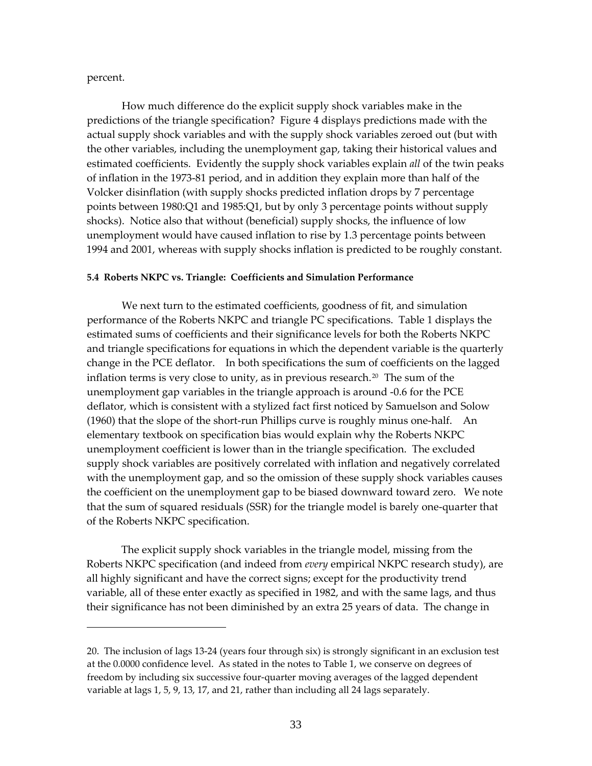percent.

 $\overline{a}$ 

How much difference do the explicit supply shock variables make in the predictions of the triangle specification? Figure 4 displays predictions made with the actual supply shock variables and with the supply shock variables zeroed out (but with the other variables, including the unemployment gap, taking their historical values and estimated coefficients. Evidently the supply shock variables explain *all* of the twin peaks of inflation in the 1973‐81 period, and in addition they explain more than half of the Volcker disinflation (with supply shocks predicted inflation drops by 7 percentage points between 1980:Q1 and 1985:Q1, but by only 3 percentage points without supply shocks). Notice also that without (beneficial) supply shocks, the influence of low unemployment would have caused inflation to rise by 1.3 percentage points between 1994 and 2001, whereas with supply shocks inflation is predicted to be roughly constant.

#### **5.4 Roberts NKPC vs. Triangle: Coefficients and Simulation Performance**

We next turn to the estimated coefficients, goodness of fit, and simulation performance of the Roberts NKPC and triangle PC specifications. Table 1 displays the estimated sums of coefficients and their significance levels for both the Roberts NKPC and triangle specifications for equations in which the dependent variable is the quarterly change in the PCE deflator. In both specifications the sum of coefficients on the lagged inflation terms is very close to unity, as in previous research.<sup>[20](#page-35-0)</sup> The sum of the unemployment gap variables in the triangle approach is around ‐0.6 for the PCE deflator, which is consistent with a stylized fact first noticed by Samuelson and Solow (1960) that the slope of the short-run Phillips curve is roughly minus one-half. An elementary textbook on specification bias would explain why the Roberts NKPC unemployment coefficient is lower than in the triangle specification. The excluded supply shock variables are positively correlated with inflation and negatively correlated with the unemployment gap, and so the omission of these supply shock variables causes the coefficient on the unemployment gap to be biased downward toward zero. We note that the sum of squared residuals (SSR) for the triangle model is barely one‐quarter that of the Roberts NKPC specification.

The explicit supply shock variables in the triangle model, missing from the Roberts NKPC specification (and indeed from *every* empirical NKPC research study), are all highly significant and have the correct signs; except for the productivity trend variable, all of these enter exactly as specified in 1982, and with the same lags, and thus their significance has not been diminished by an extra 25 years of data. The change in

<span id="page-35-0"></span><sup>20.</sup> The inclusion of lags 13‐24 (years four through six) is strongly significant in an exclusion test at the 0.0000 confidence level. As stated in the notes to Table 1, we conserve on degrees of freedom by including six successive four‐quarter moving averages of the lagged dependent variable at lags 1, 5, 9, 13, 17, and 21, rather than including all 24 lags separately.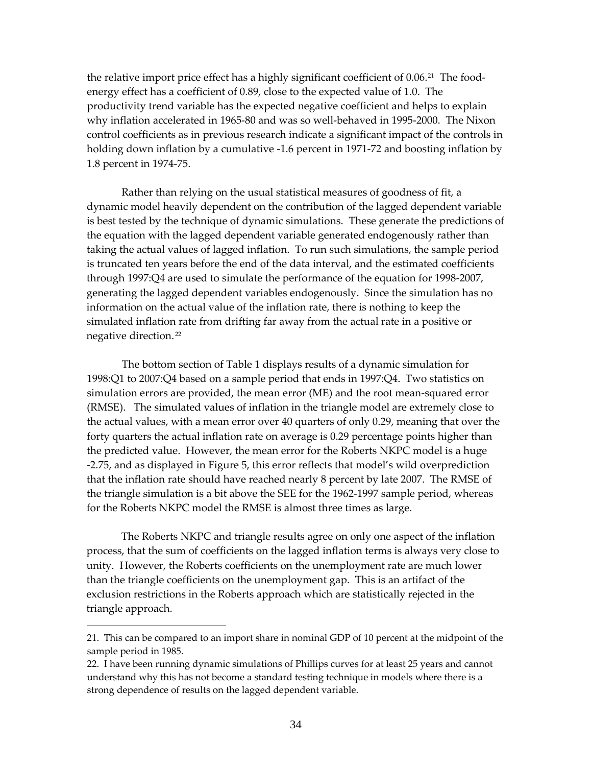the relative import price effect has a highly significant coefficient of  $0.06$ .<sup>[21](#page-36-0)</sup> The foodenergy effect has a coefficient of 0.89, close to the expected value of 1.0. The productivity trend variable has the expected negative coefficient and helps to explain why inflation accelerated in 1965‐80 and was so well‐behaved in 1995‐2000. The Nixon control coefficients as in previous research indicate a significant impact of the controls in holding down inflation by a cumulative -1.6 percent in 1971-72 and boosting inflation by 1.8 percent in 1974‐75.

Rather than relying on the usual statistical measures of goodness of fit, a dynamic model heavily dependent on the contribution of the lagged dependent variable is best tested by the technique of dynamic simulations. These generate the predictions of the equation with the lagged dependent variable generated endogenously rather than taking the actual values of lagged inflation. To run such simulations, the sample period is truncated ten years before the end of the data interval, and the estimated coefficients through 1997:Q4 are used to simulate the performance of the equation for 1998‐2007, generating the lagged dependent variables endogenously. Since the simulation has no information on the actual value of the inflation rate, there is nothing to keep the simulated inflation rate from drifting far away from the actual rate in a positive or negative direction. [22](#page-36-1)

The bottom section of Table 1 displays results of a dynamic simulation for 1998:Q1 to 2007:Q4 based on a sample period that ends in 1997:Q4. Two statistics on simulation errors are provided, the mean error (ME) and the root mean-squared error (RMSE). The simulated values of inflation in the triangle model are extremely close to the actual values, with a mean error over 40 quarters of only 0.29, meaning that over the forty quarters the actual inflation rate on average is 0.29 percentage points higher than the predicted value. However, the mean error for the Roberts NKPC model is a huge ‐2.75, and as displayed in Figure 5, this error reflects that model's wild overprediction that the inflation rate should have reached nearly 8 percent by late 2007. The RMSE of the triangle simulation is a bit above the SEE for the 1962‐1997 sample period, whereas for the Roberts NKPC model the RMSE is almost three times as large.

The Roberts NKPC and triangle results agree on only one aspect of the inflation process, that the sum of coefficients on the lagged inflation terms is always very close to unity. However, the Roberts coefficients on the unemployment rate are much lower than the triangle coefficients on the unemployment gap. This is an artifact of the exclusion restrictions in the Roberts approach which are statistically rejected in the triangle approach.

 $\overline{a}$ 

<span id="page-36-0"></span><sup>21.</sup> This can be compared to an import share in nominal GDP of 10 percent at the midpoint of the sample period in 1985.

<span id="page-36-1"></span><sup>22.</sup> I have been running dynamic simulations of Phillips curves for at least 25 years and cannot understand why this has not become a standard testing technique in models where there is a strong dependence of results on the lagged dependent variable.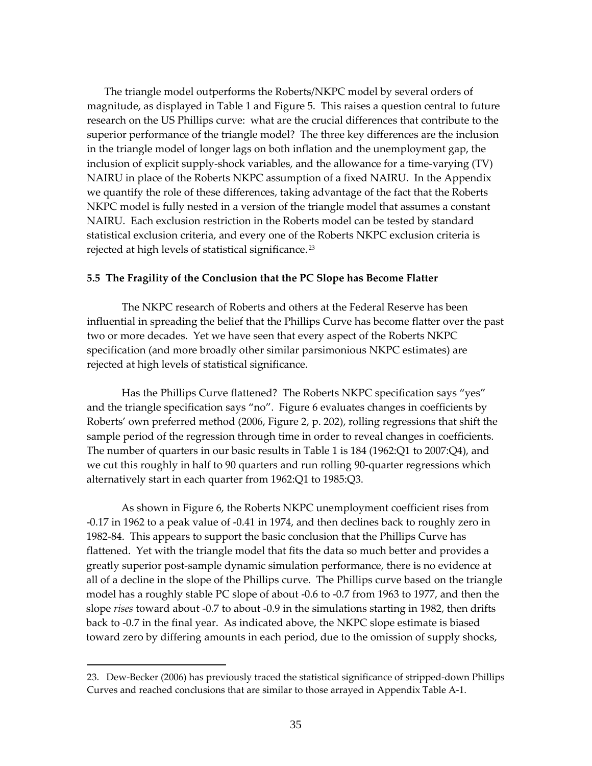The triangle model outperforms the Roberts/NKPC model by several orders of magnitude, as displayed in Table 1 and Figure 5. This raises a question central to future research on the US Phillips curve: what are the crucial differences that contribute to the superior performance of the triangle model? The three key differences are the inclusion in the triangle model of longer lags on both inflation and the unemployment gap, the inclusion of explicit supply‐shock variables, and the allowance for a time‐varying (TV) NAIRU in place of the Roberts NKPC assumption of a fixed NAIRU. In the Appendix we quantify the role of these differences, taking advantage of the fact that the Roberts NKPC model is fully nested in a version of the triangle model that assumes a constant NAIRU. Each exclusion restriction in the Roberts model can be tested by standard statistical exclusion criteria, and every one of the Roberts NKPC exclusion criteria is rejected at high levels of statistical significance. [23](#page-37-0)

#### **5.5 The Fragility of the Conclusion that the PC Slope has Become Flatter**

The NKPC research of Roberts and others at the Federal Reserve has been influential in spreading the belief that the Phillips Curve has become flatter over the past two or more decades. Yet we have seen that every aspect of the Roberts NKPC specification (and more broadly other similar parsimonious NKPC estimates) are rejected at high levels of statistical significance.

Has the Phillips Curve flattened? The Roberts NKPC specification says "yes" and the triangle specification says "no". Figure 6 evaluates changes in coefficients by Roberts' own preferred method (2006, Figure 2, p. 202), rolling regressions that shift the sample period of the regression through time in order to reveal changes in coefficients. The number of quarters in our basic results in Table 1 is 184 (1962:Q1 to 2007:Q4), and we cut this roughly in half to 90 quarters and run rolling 90‐quarter regressions which alternatively start in each quarter from 1962:Q1 to 1985:Q3.

As shown in Figure 6, the Roberts NKPC unemployment coefficient rises from ‐0.17 in 1962 to a peak value of ‐0.41 in 1974, and then declines back to roughly zero in 1982-84. This appears to support the basic conclusion that the Phillips Curve has flattened. Yet with the triangle model that fits the data so much better and provides a greatly superior post‐sample dynamic simulation performance, there is no evidence at all of a decline in the slope of the Phillips curve. The Phillips curve based on the triangle model has a roughly stable PC slope of about ‐0.6 to ‐0.7 from 1963 to 1977, and then the slope *rises* toward about ‐0.7 to about ‐0.9 in the simulations starting in 1982, then drifts back to ‐0.7 in the final year. As indicated above, the NKPC slope estimate is biased toward zero by differing amounts in each period, due to the omission of supply shocks,

 $\overline{a}$ 

<span id="page-37-0"></span><sup>23.</sup> Dew-Becker (2006) has previously traced the statistical significance of stripped-down Phillips Curves and reached conclusions that are similar to those arrayed in Appendix Table A‐1.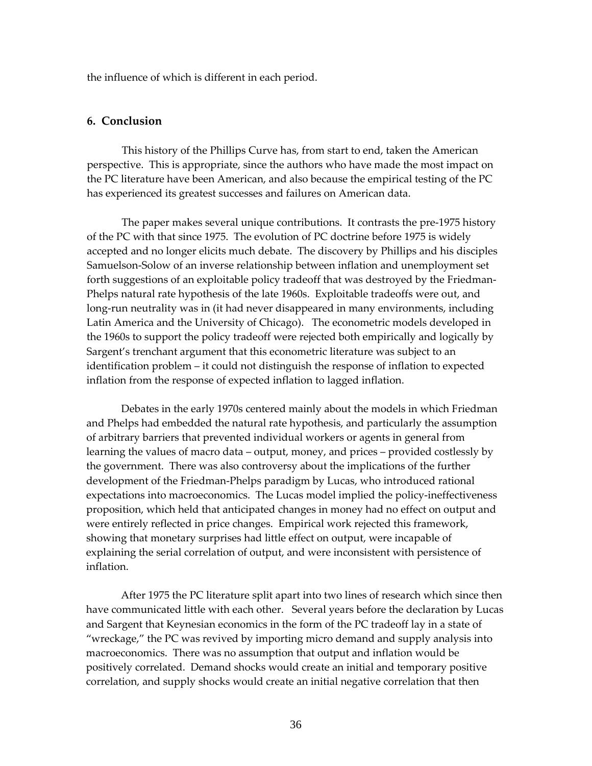the influence of which is different in each period.

# **6. Conclusion**

This history of the Phillips Curve has, from start to end, taken the American perspective. This is appropriate, since the authors who have made the most impact on the PC literature have been American, and also because the empirical testing of the PC has experienced its greatest successes and failures on American data.

The paper makes several unique contributions. It contrasts the pre‐1975 history of the PC with that since 1975. The evolution of PC doctrine before 1975 is widely accepted and no longer elicits much debate. The discovery by Phillips and his disciples Samuelson‐Solow of an inverse relationship between inflation and unemployment set forth suggestions of an exploitable policy tradeoff that was destroyed by the Friedman-Phelps natural rate hypothesis of the late 1960s. Exploitable tradeoffs were out, and long-run neutrality was in (it had never disappeared in many environments, including Latin America and the University of Chicago). The econometric models developed in the 1960s to support the policy tradeoff were rejected both empirically and logically by Sargent's trenchant argument that this econometric literature was subject to an identification problem – it could not distinguish the response of inflation to expected inflation from the response of expected inflation to lagged inflation.

<span id="page-38-0"></span>Debates in the early 1970s centered mainly about the models in which Friedman and Phelps had embedded the natural rate hypothesis, and particularly the assumption of arbitrary barriers that prevented individual workers or agents in general from learning the values of macro data – output, money, and prices – provided costlessly by the government. There was also controversy about the implications of the further development of the Friedman‐Phelps paradigm by Lucas, who introduced rational expectations into macroeconomics. The Lucas model implied the policy-ineffectiveness proposition, which held that anticipated changes in money had no effect on output and were entirely reflected in price changes. Empirical work rejected this framework, showing that monetary surprises had little effect on output, were incapable of explaining the serial correlation of output, and were inconsistent with persistence of inflation.

After 1975 the PC literature split apart into two lines of research which since then have communicated little with each other. Several years before the declaration by Lucas and Sargent that Keynesian economics in the form of the PC tradeoff lay in a state of "wreckage," the PC was revived by importing micro demand and supply analysis into macroeconomics. There was no assumption that output and inflation would be positively correlated. Demand shocks would create an initial and temporary positive correlation, and supply shocks would create an initial negative correlation that then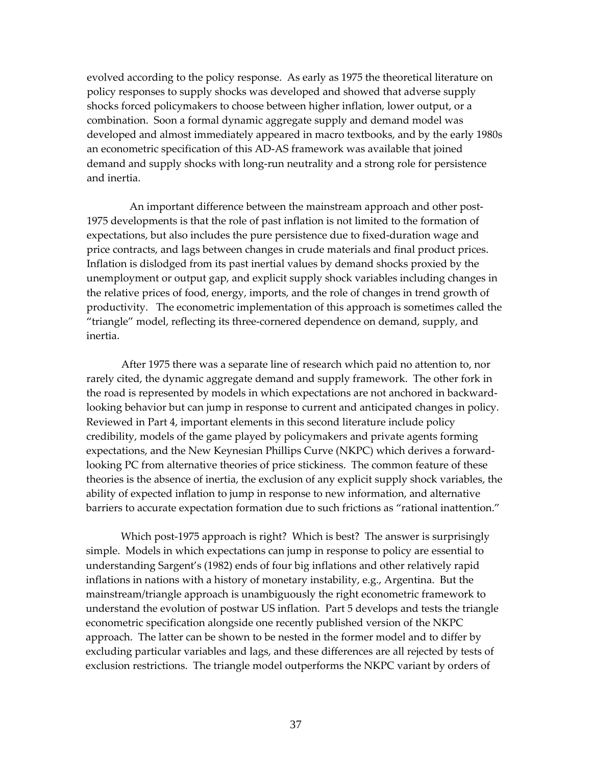evolved according to the policy response. As early as 1975 the theoretical literature on policy responses to supply shocks was developed and showed that adverse supply shocks forced policymakers to choose between higher inflation, lower output, or a combination. Soon a formal dynamic aggregate supply and demand model was developed and almost immediately appeared in macro textbooks, and by the early 1980s an econometric specification of this AD‐AS framework was available that joined demand and supply shocks with long-run neutrality and a strong role for persistence and inertia.

An important difference between the mainstream approach and other post-1975 developments is that the role of past inflation is not limited to the formation of expectations, but also includes the pure persistence due to fixed-duration wage and price contracts, and lags between changes in crude materials and final product prices. Inflation is dislodged from its past inertial values by demand shocks proxied by the unemployment or output gap, and explicit supply shock variables including changes in the relative prices of food, energy, imports, and the role of changes in trend growth of productivity. The econometric implementation of this approach is sometimes called the "triangle" model, reflecting its three‐cornered dependence on demand, supply, and inertia.

After 1975 there was a separate line of research which paid no attention to, nor rarely cited, the dynamic aggregate demand and supply framework. The other fork in the road is represented by models in which expectations are not anchored in backward‐ looking behavior but can jump in response to current and anticipated changes in policy. Reviewed in Part 4, important elements in this second literature include policy credibility, models of the game played by policymakers and private agents forming expectations, and the New Keynesian Phillips Curve (NKPC) which derives a forward‐ looking PC from alternative theories of price stickiness. The common feature of these theories is the absence of inertia, the exclusion of any explicit supply shock variables, the ability of expected inflation to jump in response to new information, and alternative barriers to accurate expectation formation due to such frictions as "rational inattention."

Which post-1975 approach is right? Which is best? The answer is surprisingly simple. Models in which expectations can jump in response to policy are essential to understanding Sargent's (1982) ends of four big inflations and other relatively rapid inflations in nations with a history of monetary instability, e.g., Argentina. But the mainstream/triangle approach is unambiguously the right econometric framework to understand the evolution of postwar US inflation. Part 5 develops and tests the triangle econometric specification alongside one recently published version of the NKPC approach. The latter can be shown to be nested in the former model and to differ by excluding particular variables and lags, and these differences are all rejected by tests of exclusion restrictions. The triangle model outperforms the NKPC variant by orders of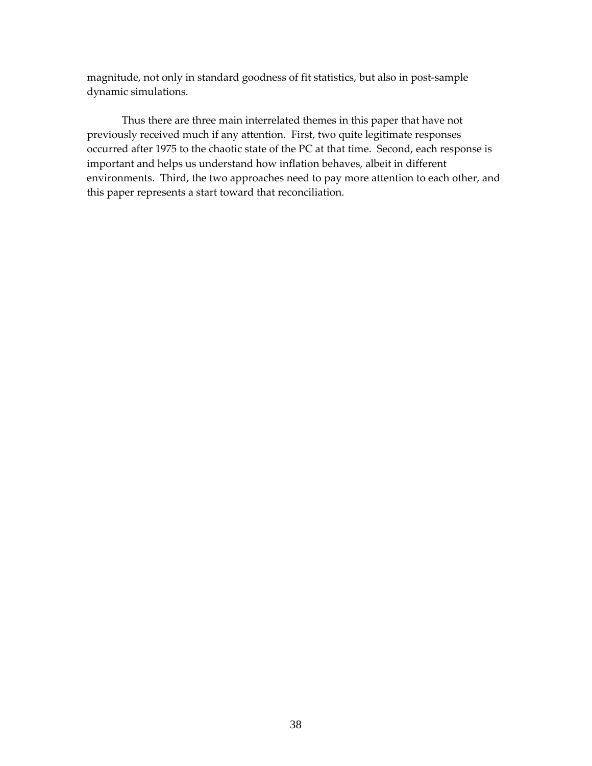magnitude, not only in standard goodness of fit statistics, but also in post-sample dynamic simulations.

Thus there are three main interrelated themes in this paper that have not previously received much if any attention. First, two quite legitimate responses occurred after 1975 to the chaotic state of the PC at that time. Second, each response is important and helps us understand how inflation behaves, albeit in different environments. Third, the two approaches need to pay more attention to each other, and this paper represents a start toward that reconciliation.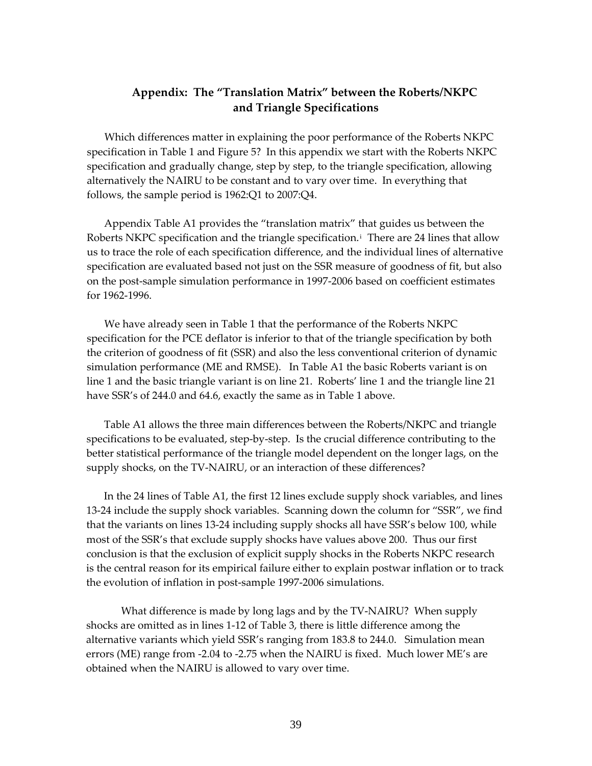# **Appendix: The "Translation Matrix" between the Roberts/NKPC and Triangle Specifications**

Which differences matter in explaining the poor performance of the Roberts NKPC specification in Table 1 and Figure 5? In this appendix we start with the Roberts NKPC specification and gradually change, step by step, to the triangle specification, allowing alternatively the NAIRU to be constant and to vary over time. In everything that follows, the sample period is 1962:Q1 to 2007:Q4.

Appendix Table A1 provides the "translation matrix" that guides us between the Roberts NKPC spec[i](#page-38-0)fication and the triangle specification.<sup>i</sup> There are 24 lines that allow us to trace the role of each specification difference, and the individual lines of alternative specification are evaluated based not just on the SSR measure of goodness of fit, but also on the post‐sample simulation performance in 1997‐2006 based on coefficient estimates for 1962‐1996.

We have already seen in Table 1 that the performance of the Roberts NKPC specification for the PCE deflator is inferior to that of the triangle specification by both the criterion of goodness of fit (SSR) and also the less conventional criterion of dynamic simulation performance (ME and RMSE). In Table A1 the basic Roberts variant is on line 1 and the basic triangle variant is on line 21. Roberts' line 1 and the triangle line 21 have SSR's of 244.0 and 64.6, exactly the same as in Table 1 above.

Table A1 allows the three main differences between the Roberts/NKPC and triangle specifications to be evaluated, step-by-step. Is the crucial difference contributing to the better statistical performance of the triangle model dependent on the longer lags, on the supply shocks, on the TV-NAIRU, or an interaction of these differences?

In the 24 lines of Table A1, the first 12 lines exclude supply shock variables, and lines 13-24 include the supply shock variables. Scanning down the column for "SSR", we find that the variants on lines 13‐24 including supply shocks all have SSR's below 100, while most of the SSR's that exclude supply shocks have values above 200. Thus our first conclusion is that the exclusion of explicit supply shocks in the Roberts NKPC research is the central reason for its empirical failure either to explain postwar inflation or to track the evolution of inflation in post‐sample 1997‐2006 simulations.

What difference is made by long lags and by the TV‐NAIRU? When supply shocks are omitted as in lines 1‐12 of Table 3, there is little difference among the alternative variants which yield SSR's ranging from 183.8 to 244.0. Simulation mean errors (ME) range from ‐2.04 to ‐2.75 when the NAIRU is fixed. Much lower ME's are obtained when the NAIRU is allowed to vary over time.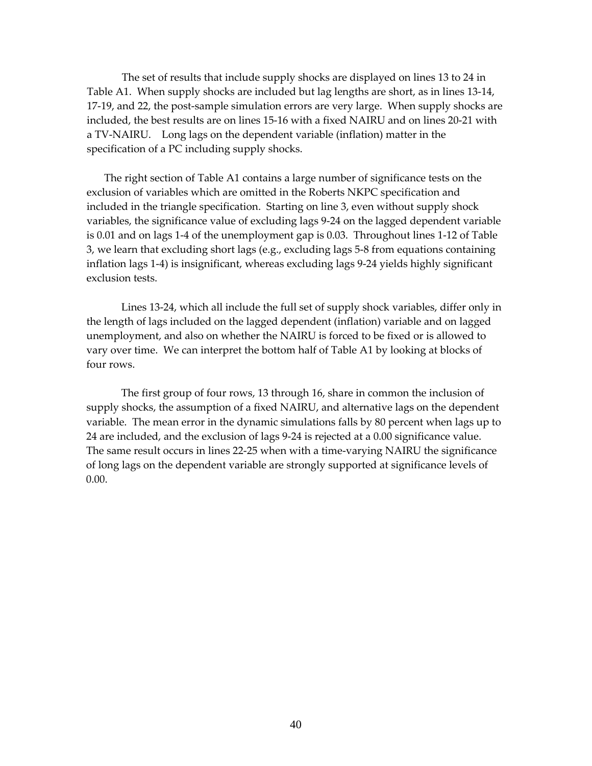The set of results that include supply shocks are displayed on lines 13 to 24 in Table A1. When supply shocks are included but lag lengths are short, as in lines 13‐14, 17-19, and 22, the post-sample simulation errors are very large. When supply shocks are included, the best results are on lines 15‐16 with a fixed NAIRU and on lines 20‐21 with a TV-NAIRU. Long lags on the dependent variable (inflation) matter in the specification of a PC including supply shocks.

The right section of Table A1 contains a large number of significance tests on the exclusion of variables which are omitted in the Roberts NKPC specification and included in the triangle specification. Starting on line 3, even without supply shock variables, the significance value of excluding lags 9‐24 on the lagged dependent variable is 0.01 and on lags 1‐4 of the unemployment gap is 0.03. Throughout lines 1‐12 of Table 3, we learn that excluding short lags (e.g., excluding lags 5‐8 from equations containing inflation lags 1‐4) is insignificant, whereas excluding lags 9‐24 yields highly significant exclusion tests.

Lines 13‐24, which all include the full set of supply shock variables, differ only in the length of lags included on the lagged dependent (inflation) variable and on lagged unemployment, and also on whether the NAIRU is forced to be fixed or is allowed to vary over time. We can interpret the bottom half of Table A1 by looking at blocks of four rows.

The first group of four rows, 13 through 16, share in common the inclusion of supply shocks, the assumption of a fixed NAIRU, and alternative lags on the dependent variable. The mean error in the dynamic simulations falls by 80 percent when lags up to 24 are included, and the exclusion of lags 9‐24 is rejected at a 0.00 significance value. The same result occurs in lines 22‐25 when with a time‐varying NAIRU the significance of long lags on the dependent variable are strongly supported at significance levels of 0.00.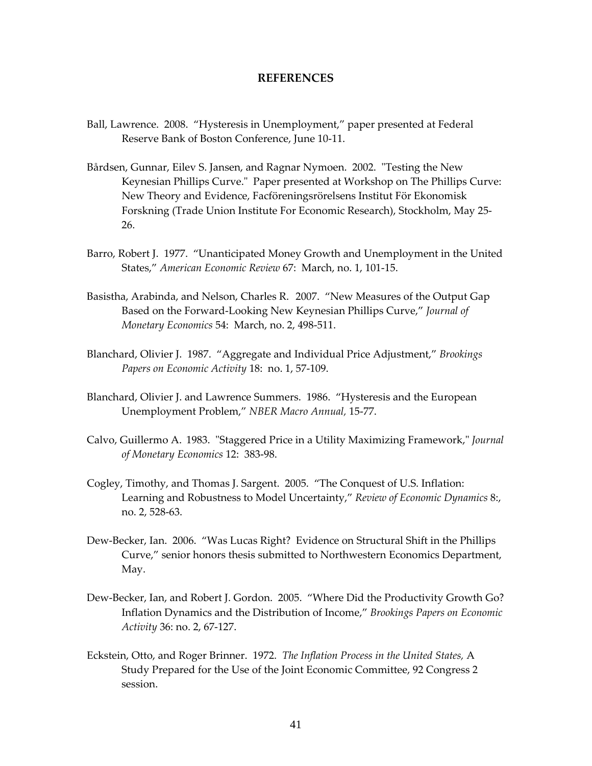#### **REFERENCES**

- Ball, Lawrence. 2008. "Hysteresis in Unemployment," paper presented at Federal Reserve Bank of Boston Conference, June 10‐11.
- Bårdsen, Gunnar, Eilev S. Jansen, and Ragnar Nymoen. 2002. "Testing the New Keynesian Phillips Curve." Paper presented at Workshop on The Phillips Curve: New Theory and Evidence, Facföreningsrörelsens Institut För Ekonomisk Forskning (Trade Union Institute For Economic Research), Stockholm, May 25‐ 26.
- Barro, Robert J. 1977. "Unanticipated Money Growth and Unemployment in the United States," *American Economic Review* 67: March, no. 1, 101‐15.
- Basistha, Arabinda, and Nelson, Charles R. 2007. "New Measures of the Output Gap Based on the Forward‐Looking New Keynesian Phillips Curve," *Journal of Monetary Economics* 54: March, no. 2, 498‐511.
- Blanchard, Olivier J. 1987. "Aggregate and Individual Price Adjustment," *Brookings Papers on Economic Activity* 18: no. 1, 57‐109.
- Blanchard, Olivier J. and Lawrence Summers. 1986. "Hysteresis and the European Unemployment Problem," *NBER Macro Annual,* 15‐77.
- Calvo, Guillermo A. 1983. "Staggered Price in a Utility Maximizing Framework," *Journal of Monetary Economics* 12: 383‐98.
- Cogley, Timothy, and Thomas J. Sargent. 2005. "The Conquest of U.S. Inflation: Learning and Robustness to Model Uncertainty," *Review of Economic Dynamics* 8:, no. 2, 528‐63.
- Dew-Becker, Ian. 2006. "Was Lucas Right? Evidence on Structural Shift in the Phillips Curve," senior honors thesis submitted to Northwestern Economics Department, May.
- Dew‐Becker, Ian, and Robert J. Gordon. 2005. "Where Did the Productivity Growth Go? Inflation Dynamics and the Distribution of Income," *Brookings Papers on Economic Activity* 36: no. 2, 67‐127.
- Eckstein, Otto, and Roger Brinner. 1972. *The Inflation Process in the United States,* A Study Prepared for the Use of the Joint Economic Committee, 92 Congress 2 session.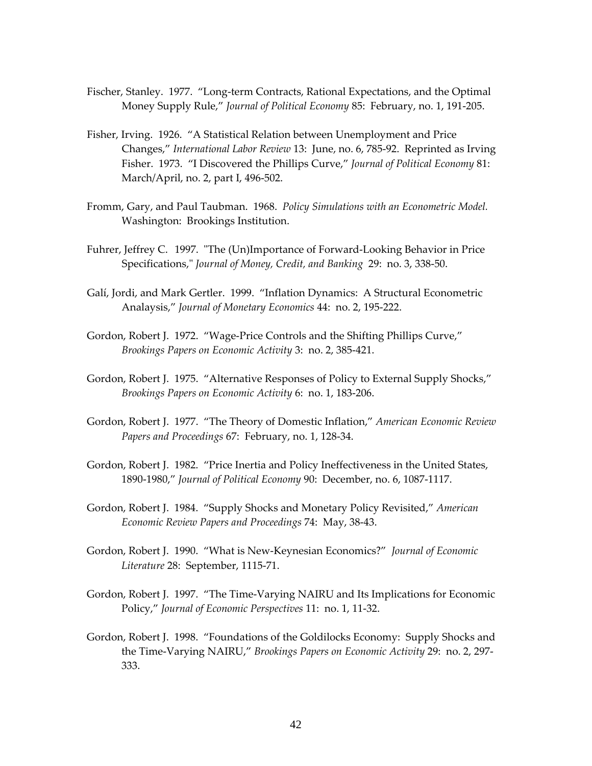- Fischer, Stanley. 1977. "Long‐term Contracts, Rational Expectations, and the Optimal Money Supply Rule," *Journal of Political Economy* 85: February, no. 1, 191‐205.
- Fisher, Irving. 1926. "A Statistical Relation between Unemployment and Price Changes," *International Labor Review* 13: June, no. 6, 785‐92. Reprinted as Irving Fisher. 1973. "I Discovered the Phillips Curve," *Journal of Political Economy* 81: March/April, no. 2, part I, 496‐502.
- Fromm, Gary, and Paul Taubman. 1968. *Policy Simulations with an Econometric Model.*  Washington: Brookings Institution.
- Fuhrer, Jeffrey C. 1997. "The (Un)Importance of Forward-Looking Behavior in Price Specifications,ʺ *Journal of Money, Credit, and Banking* 29: no. 3, 338‐50.
- Galí, Jordi, and Mark Gertler. 1999. "Inflation Dynamics: A Structural Econometric Analaysis," *Journal of Monetary Economics* 44: no. 2, 195‐222.
- Gordon, Robert J. 1972. "Wage-Price Controls and the Shifting Phillips Curve," *Brookings Papers on Economic Activity* 3: no. 2, 385‐421.
- Gordon, Robert J. 1975. "Alternative Responses of Policy to External Supply Shocks," *Brookings Papers on Economic Activity* 6: no. 1, 183‐206.
- Gordon, Robert J. 1977. "The Theory of Domestic Inflation," *American Economic Review Papers and Proceedings* 67: February, no. 1, 128‐34.
- Gordon, Robert J. 1982. "Price Inertia and Policy Ineffectiveness in the United States, 1890‐1980," *Journal of Political Economy* 90: December, no. 6, 1087‐1117.
- Gordon, Robert J. 1984. "Supply Shocks and Monetary Policy Revisited," *American Economic Review Papers and Proceedings* 74: May, 38‐43.
- Gordon, Robert J. 1990. "What is New‐Keynesian Economics?" *Journal of Economic Literature* 28: September, 1115‐71.
- Gordon, Robert J. 1997. "The Time‐Varying NAIRU and Its Implications for Economic Policy," *Journal of Economic Perspectives* 11: no. 1, 11‐32.
- Gordon, Robert J. 1998. "Foundations of the Goldilocks Economy: Supply Shocks and the Time‐Varying NAIRU," *Brookings Papers on Economic Activity* 29: no. 2, 297‐ 333.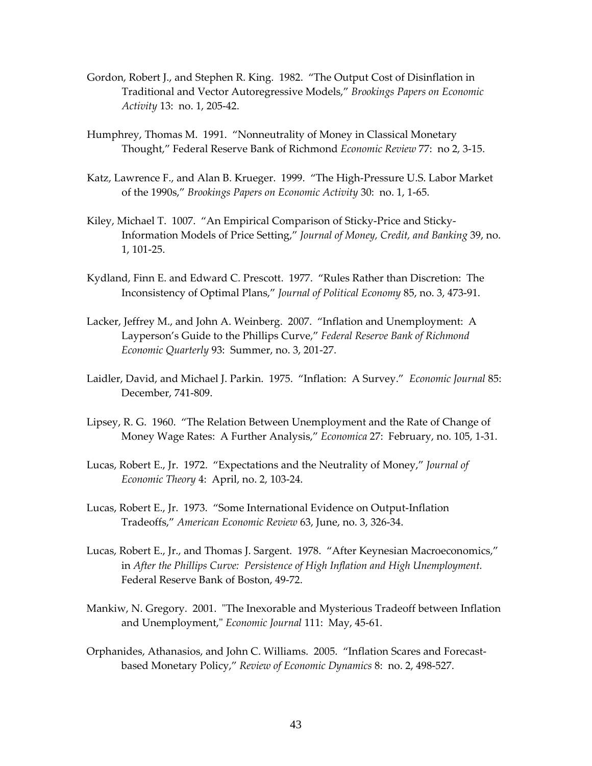- Gordon, Robert J., and Stephen R. King. 1982. "The Output Cost of Disinflation in Traditional and Vector Autoregressive Models," *Brookings Papers on Economic Activity* 13: no. 1, 205‐42.
- Humphrey, Thomas M. 1991. "Nonneutrality of Money in Classical Monetary Thought," Federal Reserve Bank of Richmond *Economic Review* 77: no 2, 3‐15.
- Katz, Lawrence F., and Alan B. Krueger. 1999. "The High‐Pressure U.S. Labor Market of the 1990s," *Brookings Papers on Economic Activity* 30: no. 1, 1‐65.
- Kiley, Michael T. 1007. "An Empirical Comparison of Sticky‐Price and Sticky‐ Information Models of Price Setting," *Journal of Money, Credit, and Banking* 39, no. 1, 101‐25.
- Kydland, Finn E. and Edward C. Prescott. 1977. "Rules Rather than Discretion: The Inconsistency of Optimal Plans," *Journal of Political Economy* 85, no. 3, 473‐91.
- Lacker, Jeffrey M., and John A. Weinberg. 2007. "Inflation and Unemployment: A Layperson's Guide to the Phillips Curve," *Federal Reserve Bank of Richmond Economic Quarterly* 93: Summer, no. 3, 201‐27.
- Laidler, David, and Michael J. Parkin. 1975. "Inflation: A Survey." *Economic Journal* 85: December, 741‐809.
- Lipsey, R. G. 1960. "The Relation Between Unemployment and the Rate of Change of Money Wage Rates: A Further Analysis," *Economica* 27: February, no. 105, 1‐31.
- Lucas, Robert E., Jr. 1972. "Expectations and the Neutrality of Money," *Journal of Economic Theory* 4: April, no. 2, 103‐24.
- Lucas, Robert E., Jr. 1973. "Some International Evidence on Output‐Inflation Tradeoffs," *American Economic Review* 63, June, no. 3, 326‐34.
- Lucas, Robert E., Jr., and Thomas J. Sargent. 1978. "After Keynesian Macroeconomics," in *After the Phillips Curve: Persistence of High Inflation and High Unemployment.*  Federal Reserve Bank of Boston, 49‐72.
- Mankiw, N. Gregory. 2001. "The Inexorable and Mysterious Tradeoff between Inflation and Unemployment,ʺ *Economic Journal* 111: May, 45‐61.
- Orphanides, Athanasios, and John C. Williams. 2005. "Inflation Scares and Forecast‐ based Monetary Policy," *Review of Economic Dynamics* 8: no. 2, 498‐527.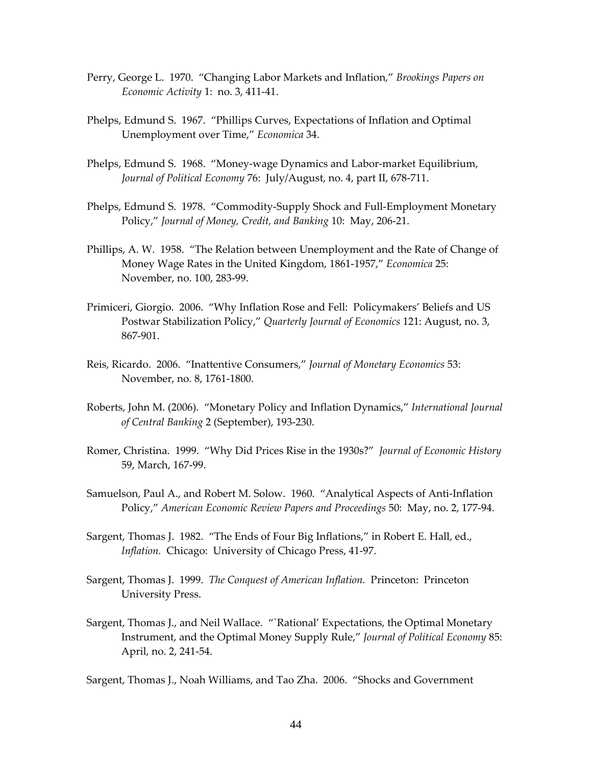- Perry, George L. 1970. "Changing Labor Markets and Inflation," *Brookings Papers on Economic Activity* 1: no. 3, 411‐41.
- Phelps, Edmund S. 1967. "Phillips Curves, Expectations of Inflation and Optimal Unemployment over Time," *Economica* 34.
- Phelps, Edmund S. 1968. "Money‐wage Dynamics and Labor‐market Equilibrium, *Journal of Political Economy* 76: July/August, no. 4, part II, 678‐711.
- Phelps, Edmund S. 1978. "Commodity‐Supply Shock and Full‐Employment Monetary Policy," *Journal of Money, Credit, and Banking* 10: May, 206‐21.
- Phillips, A. W. 1958. "The Relation between Unemployment and the Rate of Change of Money Wage Rates in the United Kingdom, 1861‐1957," *Economica* 25: November, no. 100, 283‐99.
- Primiceri, Giorgio. 2006. "Why Inflation Rose and Fell: Policymakers' Beliefs and US Postwar Stabilization Policy," *Quarterly Journal of Economics* 121: August, no. 3, 867‐901.
- Reis, Ricardo. 2006. "Inattentive Consumers," *Journal of Monetary Economics* 53: November, no. 8, 1761‐1800.
- Roberts, John M. (2006). "Monetary Policy and Inflation Dynamics," *International Journal of Central Banking* 2 (September), 193‐230.
- Romer, Christina. 1999. "Why Did Prices Rise in the 1930s?" *Journal of Economic History* 59, March, 167‐99.
- Samuelson, Paul A., and Robert M. Solow. 1960. "Analytical Aspects of Anti-Inflation Policy," *American Economic Review Papers and Proceedings* 50: May, no. 2, 177‐94.
- Sargent, Thomas J. 1982. "The Ends of Four Big Inflations," in Robert E. Hall, ed., *Inflation.* Chicago: University of Chicago Press, 41-97.
- Sargent, Thomas J. 1999. *The Conquest of American Inflation.* Princeton: Princeton University Press.
- Sargent, Thomas J., and Neil Wallace. "`Rational' Expectations, the Optimal Monetary Instrument, and the Optimal Money Supply Rule," *Journal of Political Economy* 85: April, no. 2, 241‐54.

Sargent, Thomas J., Noah Williams, and Tao Zha. 2006. "Shocks and Government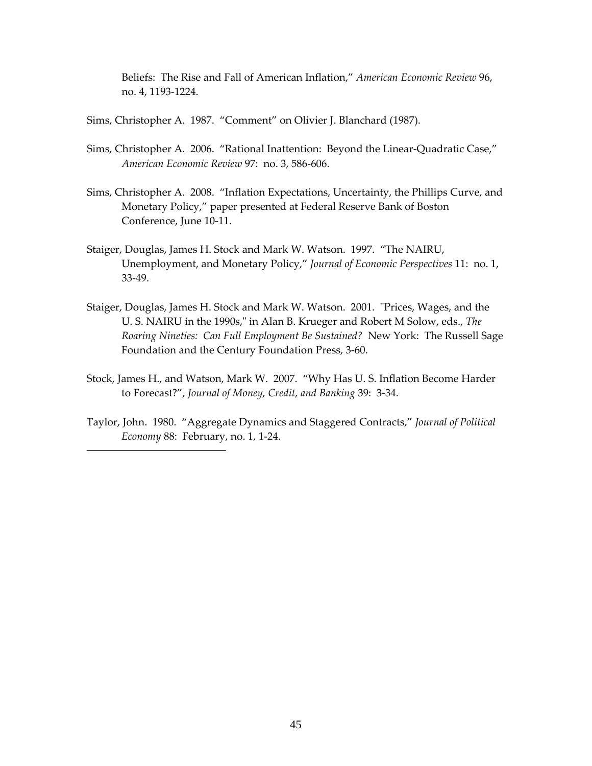Beliefs: The Rise and Fall of American Inflation," *American Economic Review* 96, no. 4, 1193‐1224.

Sims, Christopher A. 1987. "Comment" on Olivier J. Blanchard (1987).

- Sims, Christopher A. 2006. "Rational Inattention: Beyond the Linear‐Quadratic Case," *American Economic Review* 97: no. 3, 586‐606.
- Sims, Christopher A. 2008. "Inflation Expectations, Uncertainty, the Phillips Curve, and Monetary Policy," paper presented at Federal Reserve Bank of Boston Conference, June 10‐11.
- Staiger, Douglas, James H. Stock and Mark W. Watson. 1997. "The NAIRU, Unemployment, and Monetary Policy," *Journal of Economic Perspectives* 11: no. 1, 33‐49.
- Staiger, Douglas, James H. Stock and Mark W. Watson. 2001. "Prices, Wages, and the U. S. NAIRU in the 1990s," in Alan B. Krueger and Robert M Solow, eds., *The Roaring Nineties: Can Full Employment Be Sustained?* New York: The Russell Sage Foundation and the Century Foundation Press, 3‐60.
- Stock, James H., and Watson, Mark W. 2007. "Why Has U. S. Inflation Become Harder to Forecast?", *Journal of Money, Credit, and Banking* 39: 3‐34.
- Taylor, John. 1980. "Aggregate Dynamics and Staggered Contracts," *Journal of Political Economy* 88: February, no. 1, 1‐24.

 $\overline{a}$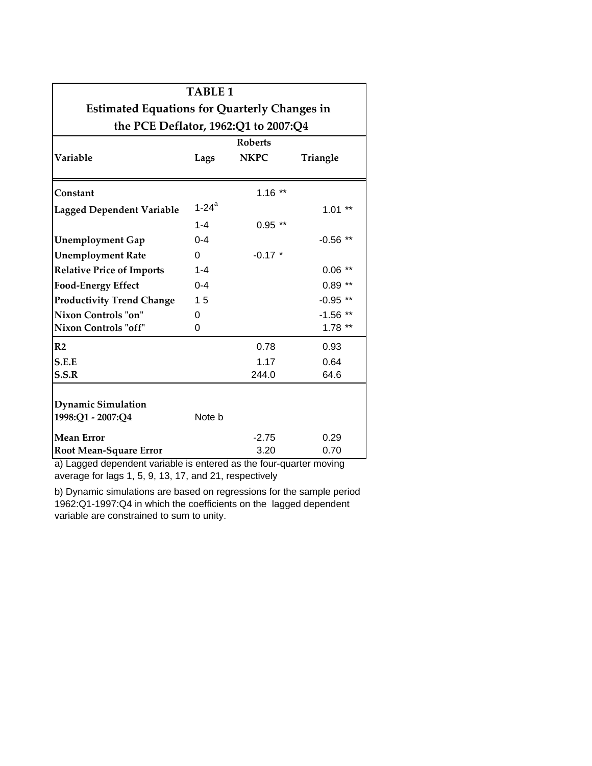| <b>TABLE 1</b>                                      |                     |             |                 |  |  |  |  |  |  |  |  |
|-----------------------------------------------------|---------------------|-------------|-----------------|--|--|--|--|--|--|--|--|
| <b>Estimated Equations for Quarterly Changes in</b> |                     |             |                 |  |  |  |  |  |  |  |  |
| the PCE Deflator, 1962:Q1 to 2007:Q4                |                     |             |                 |  |  |  |  |  |  |  |  |
|                                                     | <b>Roberts</b>      |             |                 |  |  |  |  |  |  |  |  |
| Variable                                            | Lags                | <b>NKPC</b> | <b>Triangle</b> |  |  |  |  |  |  |  |  |
| Constant                                            |                     | $1.16$ **   |                 |  |  |  |  |  |  |  |  |
| <b>Lagged Dependent Variable</b>                    | $1-24$ <sup>a</sup> |             | $1.01**$        |  |  |  |  |  |  |  |  |
|                                                     | $1 - 4$             | $0.95**$    |                 |  |  |  |  |  |  |  |  |
| <b>Unemployment Gap</b>                             | $0 - 4$             |             | $-0.56$ **      |  |  |  |  |  |  |  |  |
| <b>Unemployment Rate</b>                            | $\Omega$            | $-0.17$ *   |                 |  |  |  |  |  |  |  |  |
| <b>Relative Price of Imports</b>                    | $1 - 4$             |             | $0.06$ **       |  |  |  |  |  |  |  |  |
| <b>Food-Energy Effect</b>                           | $0 - 4$             |             | $0.89**$        |  |  |  |  |  |  |  |  |
| <b>Productivity Trend Change</b>                    | 15                  |             | $-0.95$ **      |  |  |  |  |  |  |  |  |
| Nixon Controls "on"                                 | 0                   |             | $-1.56$ **      |  |  |  |  |  |  |  |  |
| Nixon Controls "off"                                | 0                   |             | $1.78$ **       |  |  |  |  |  |  |  |  |
| R <sub>2</sub>                                      |                     | 0.78        | 0.93            |  |  |  |  |  |  |  |  |
| S.E.E                                               |                     | 1.17        | 0.64            |  |  |  |  |  |  |  |  |
| S.S.R                                               |                     | 244.0       | 64.6            |  |  |  |  |  |  |  |  |
| <b>Dynamic Simulation</b>                           |                     |             |                 |  |  |  |  |  |  |  |  |
| 1998:Q1 - 2007:Q4                                   | Note b              |             |                 |  |  |  |  |  |  |  |  |
| <b>Mean Error</b>                                   |                     | $-2.75$     | 0.29            |  |  |  |  |  |  |  |  |
| <b>Root Mean-Square Error</b>                       |                     | 3.20        | 0.70            |  |  |  |  |  |  |  |  |

a) Lagged dependent variable is entered as the four-quarter moving average for lags 1, 5, 9, 13, 17, and 21, respectively

b) Dynamic simulations are based on regressions for the sample period 1962:Q1-1997:Q4 in which the coefficients on the lagged dependent variable are constrained to sum to unity.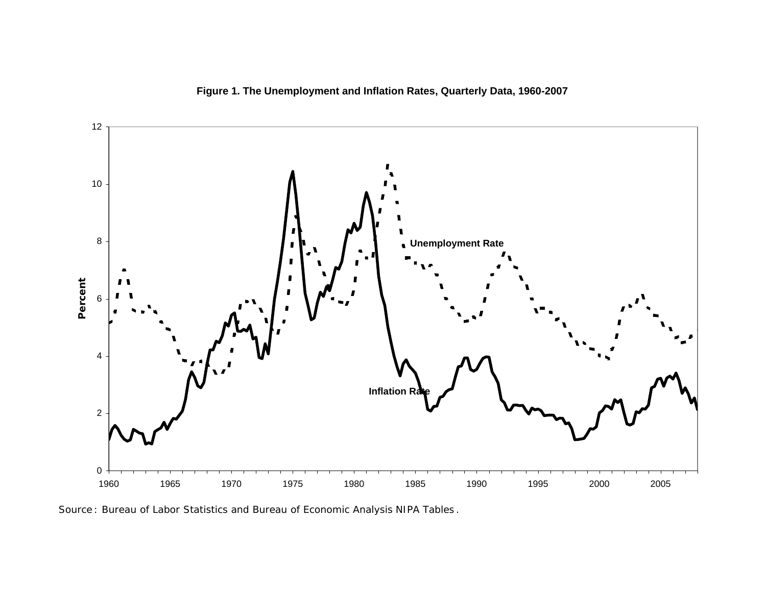**Figure 1. The Unemployment and Inflation Rates, Quarterly Data, 1960-2007**



*Source* : Bureau of Labor Statistics and Bureau of Economic Analysis *NIPA Tables* .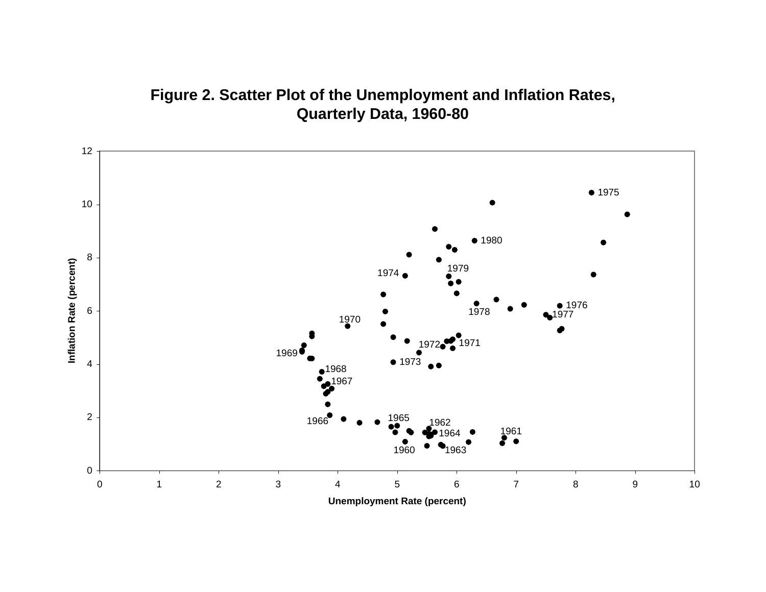

# **Figure 2. Scatter Plot of the Unemployment and Inflation Rates, Quarterly Data, 1960-80**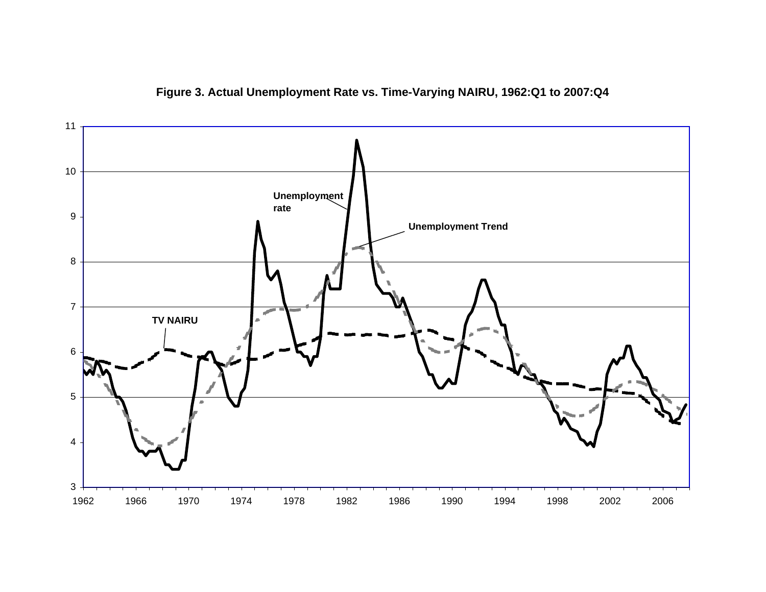

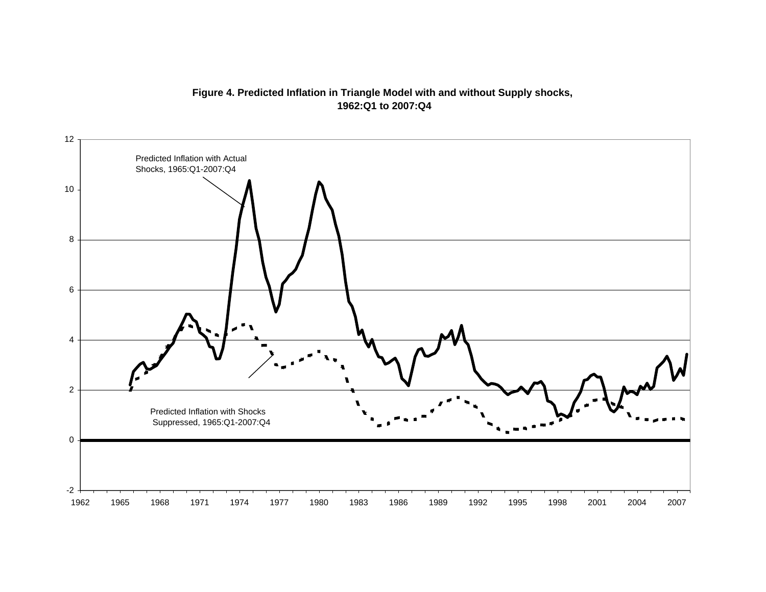# **Figure 4. Predicted Inflation in Triangle Model with and without Supply shocks, 1962:Q1 to 2007:Q4**

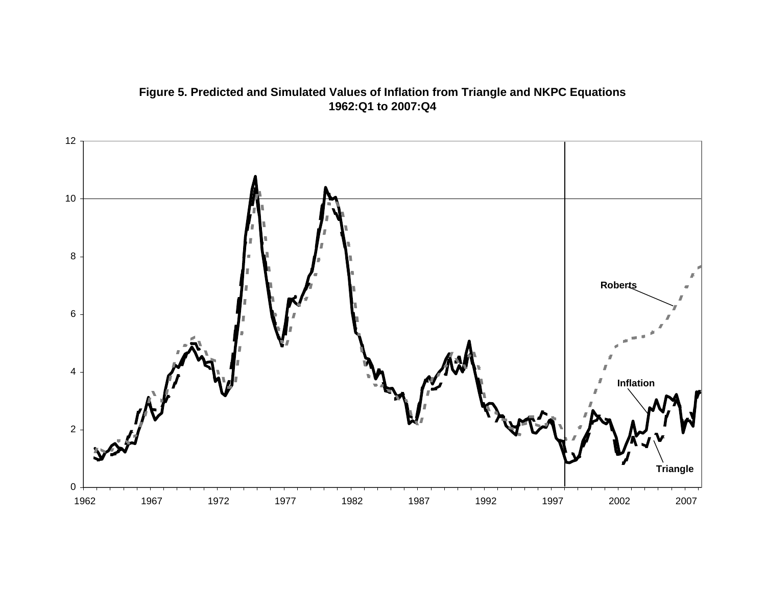

# **Figure 5. Predicted and Simulated Values of Inflation from Triangle and NKPC Equations 1962:Q1 to 2007:Q4**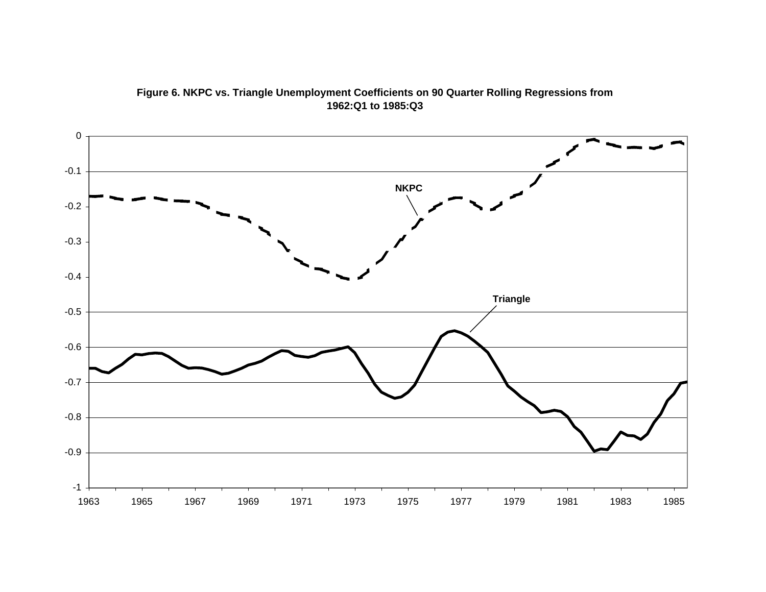

**Figure 6. NKPC vs. Triangle Unemployment Coefficients on 90 Quarter Rolling Regressions from 1962:Q1 to 1985:Q3**